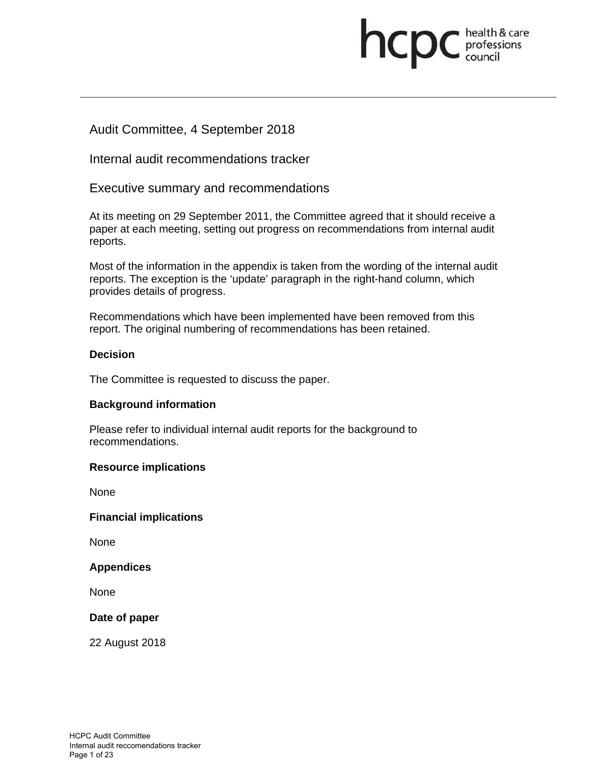# **health & care**

# Audit Committee, 4 September 2018

Internal audit recommendations tracker

Executive summary and recommendations

At its meeting on 29 September 2011, the Committee agreed that it should receive a paper at each meeting, setting out progress on recommendations from internal audit reports.

Most of the information in the appendix is taken from the wording of the internal audit reports. The exception is the 'update' paragraph in the right-hand column, which provides details of progress.

Recommendations which have been implemented have been removed from this report. The original numbering of recommendations has been retained.

## **Decision**

The Committee is requested to discuss the paper.

#### **Background information**

Please refer to individual internal audit reports for the background to recommendations.

#### **Resource implications**

None

#### **Financial implications**

None

#### **Appendices**

None

#### **Date of paper**

22 August 2018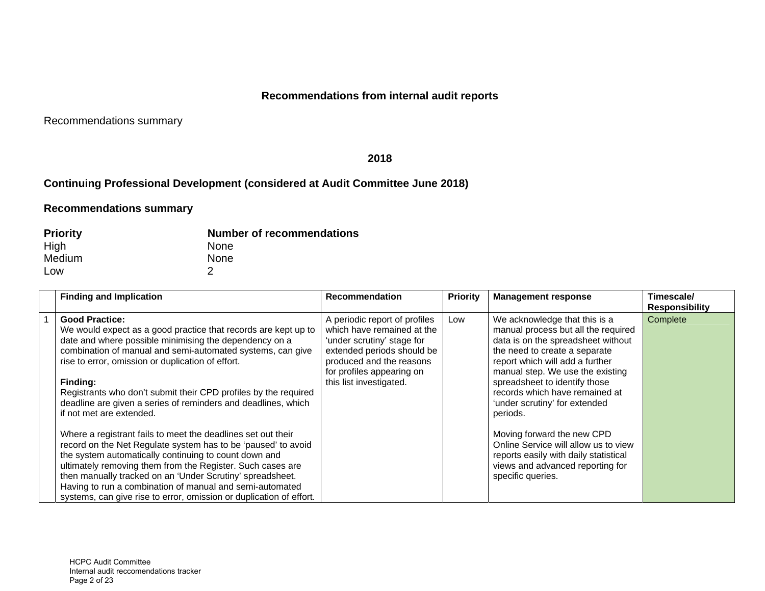# **Recommendations from internal audit reports**

Recommendations summary

#### **2018**

# **Continuing Professional Development (considered at Audit Committee June 2018)**

| <b>Priority</b> | <b>Number of recommendations</b> |
|-----------------|----------------------------------|
| High            | <b>None</b>                      |
| Medium          | None                             |
| Low             |                                  |

| <b>Finding and Implication</b>                                                                                                                                                                                                                                                                                                                                                                                                                                                                                                                                                                                                                                                                                                                                                                                                                                                                           | <b>Recommendation</b>                                                                                                                                                                                       | <b>Priority</b> | <b>Management response</b>                                                                                                                                                                                                                                                                                                                                                                                                                                                                                 | Timescale/<br><b>Responsibility</b> |
|----------------------------------------------------------------------------------------------------------------------------------------------------------------------------------------------------------------------------------------------------------------------------------------------------------------------------------------------------------------------------------------------------------------------------------------------------------------------------------------------------------------------------------------------------------------------------------------------------------------------------------------------------------------------------------------------------------------------------------------------------------------------------------------------------------------------------------------------------------------------------------------------------------|-------------------------------------------------------------------------------------------------------------------------------------------------------------------------------------------------------------|-----------------|------------------------------------------------------------------------------------------------------------------------------------------------------------------------------------------------------------------------------------------------------------------------------------------------------------------------------------------------------------------------------------------------------------------------------------------------------------------------------------------------------------|-------------------------------------|
| <b>Good Practice:</b><br>We would expect as a good practice that records are kept up to<br>date and where possible minimising the dependency on a<br>combination of manual and semi-automated systems, can give<br>rise to error, omission or duplication of effort.<br>Finding:<br>Registrants who don't submit their CPD profiles by the required<br>deadline are given a series of reminders and deadlines, which<br>if not met are extended.<br>Where a registrant fails to meet the deadlines set out their<br>record on the Net Regulate system has to be 'paused' to avoid<br>the system automatically continuing to count down and<br>ultimately removing them from the Register. Such cases are<br>then manually tracked on an 'Under Scrutiny' spreadsheet.<br>Having to run a combination of manual and semi-automated<br>systems, can give rise to error, omission or duplication of effort. | A periodic report of profiles<br>which have remained at the<br>'under scrutiny' stage for<br>extended periods should be<br>produced and the reasons<br>for profiles appearing on<br>this list investigated. | Low             | We acknowledge that this is a<br>manual process but all the required<br>data is on the spreadsheet without<br>the need to create a separate<br>report which will add a further<br>manual step. We use the existing<br>spreadsheet to identify those<br>records which have remained at<br>'under scrutiny' for extended<br>periods.<br>Moving forward the new CPD<br>Online Service will allow us to view<br>reports easily with daily statistical<br>views and advanced reporting for<br>specific queries. | Complete                            |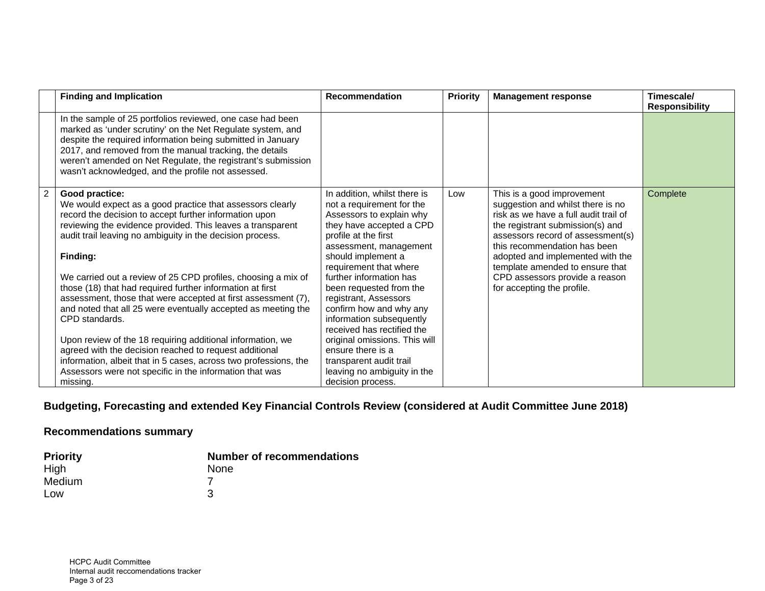| <b>Finding and Implication</b>                                                                                                                                                                                                                                                                                                                                           | <b>Recommendation</b>                                                                                                                                                                                            | <b>Priority</b> | <b>Management response</b>                                                                                                                                                                                        | Timescale/<br><b>Responsibility</b> |
|--------------------------------------------------------------------------------------------------------------------------------------------------------------------------------------------------------------------------------------------------------------------------------------------------------------------------------------------------------------------------|------------------------------------------------------------------------------------------------------------------------------------------------------------------------------------------------------------------|-----------------|-------------------------------------------------------------------------------------------------------------------------------------------------------------------------------------------------------------------|-------------------------------------|
| In the sample of 25 portfolios reviewed, one case had been<br>marked as 'under scrutiny' on the Net Regulate system, and<br>despite the required information being submitted in January<br>2017, and removed from the manual tracking, the details<br>weren't amended on Net Regulate, the registrant's submission<br>wasn't acknowledged, and the profile not assessed. |                                                                                                                                                                                                                  |                 |                                                                                                                                                                                                                   |                                     |
| Good practice:<br>We would expect as a good practice that assessors clearly<br>record the decision to accept further information upon<br>reviewing the evidence provided. This leaves a transparent<br>audit trail leaving no ambiguity in the decision process.                                                                                                         | In addition, whilst there is<br>not a requirement for the<br>Assessors to explain why<br>they have accepted a CPD<br>profile at the first<br>assessment, management                                              | Low             | This is a good improvement<br>suggestion and whilst there is no<br>risk as we have a full audit trail of<br>the registrant submission(s) and<br>assessors record of assessment(s)<br>this recommendation has been | Complete                            |
| Finding:<br>We carried out a review of 25 CPD profiles, choosing a mix of<br>those (18) that had required further information at first<br>assessment, those that were accepted at first assessment (7),<br>and noted that all 25 were eventually accepted as meeting the<br>CPD standards.                                                                               | should implement a<br>requirement that where<br>further information has<br>been requested from the<br>registrant, Assessors<br>confirm how and why any<br>information subsequently<br>received has rectified the |                 | adopted and implemented with the<br>template amended to ensure that<br>CPD assessors provide a reason<br>for accepting the profile.                                                                               |                                     |
| Upon review of the 18 requiring additional information, we<br>agreed with the decision reached to request additional<br>information, albeit that in 5 cases, across two professions, the<br>Assessors were not specific in the information that was<br>missing.                                                                                                          | original omissions. This will<br>ensure there is a<br>transparent audit trail<br>leaving no ambiguity in the<br>decision process.                                                                                |                 |                                                                                                                                                                                                                   |                                     |

# **Budgeting, Forecasting and extended Key Financial Controls Review (considered at Audit Committee June 2018)**

| <b>Priority</b> | <b>Number of recommendations</b> |
|-----------------|----------------------------------|
| High            | None                             |
| Medium          |                                  |
| Low             | З                                |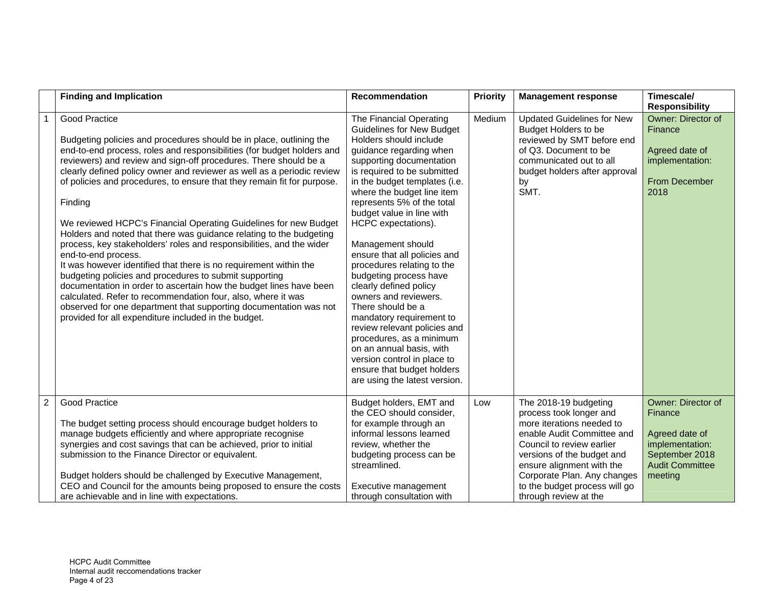|                | <b>Finding and Implication</b>                                                                                                                                                                                                                                                                                                                                                                                                                                                                                                                                                                                                                                                                                                                                                                                                                                                                                                                                                                                                                        | <b>Recommendation</b>                                                                                                                                                                                                                                                                                                                                                                                                                                                                                                                                                                                                                                                                                                               | <b>Priority</b> | <b>Management response</b>                                                                                                                                                                                                                                                                   | Timescale/<br><b>Responsibility</b>                                                                                       |
|----------------|-------------------------------------------------------------------------------------------------------------------------------------------------------------------------------------------------------------------------------------------------------------------------------------------------------------------------------------------------------------------------------------------------------------------------------------------------------------------------------------------------------------------------------------------------------------------------------------------------------------------------------------------------------------------------------------------------------------------------------------------------------------------------------------------------------------------------------------------------------------------------------------------------------------------------------------------------------------------------------------------------------------------------------------------------------|-------------------------------------------------------------------------------------------------------------------------------------------------------------------------------------------------------------------------------------------------------------------------------------------------------------------------------------------------------------------------------------------------------------------------------------------------------------------------------------------------------------------------------------------------------------------------------------------------------------------------------------------------------------------------------------------------------------------------------------|-----------------|----------------------------------------------------------------------------------------------------------------------------------------------------------------------------------------------------------------------------------------------------------------------------------------------|---------------------------------------------------------------------------------------------------------------------------|
|                | <b>Good Practice</b><br>Budgeting policies and procedures should be in place, outlining the<br>end-to-end process, roles and responsibilities (for budget holders and<br>reviewers) and review and sign-off procedures. There should be a<br>clearly defined policy owner and reviewer as well as a periodic review<br>of policies and procedures, to ensure that they remain fit for purpose.<br>Finding<br>We reviewed HCPC's Financial Operating Guidelines for new Budget<br>Holders and noted that there was guidance relating to the budgeting<br>process, key stakeholders' roles and responsibilities, and the wider<br>end-to-end process.<br>It was however identified that there is no requirement within the<br>budgeting policies and procedures to submit supporting<br>documentation in order to ascertain how the budget lines have been<br>calculated. Refer to recommendation four, also, where it was<br>observed for one department that supporting documentation was not<br>provided for all expenditure included in the budget. | The Financial Operating<br><b>Guidelines for New Budget</b><br>Holders should include<br>guidance regarding when<br>supporting documentation<br>is required to be submitted<br>in the budget templates (i.e.<br>where the budget line item<br>represents 5% of the total<br>budget value in line with<br>HCPC expectations).<br>Management should<br>ensure that all policies and<br>procedures relating to the<br>budgeting process have<br>clearly defined policy<br>owners and reviewers.<br>There should be a<br>mandatory requirement to<br>review relevant policies and<br>procedures, as a minimum<br>on an annual basis, with<br>version control in place to<br>ensure that budget holders<br>are using the latest version. | Medium          | <b>Updated Guidelines for New</b><br><b>Budget Holders to be</b><br>reviewed by SMT before end<br>of Q3. Document to be<br>communicated out to all<br>budget holders after approval<br>by<br>SMT.                                                                                            | Owner: Director of<br>Finance<br>Agreed date of<br>implementation:<br><b>From December</b><br>2018                        |
| $\overline{c}$ | <b>Good Practice</b><br>The budget setting process should encourage budget holders to<br>manage budgets efficiently and where appropriate recognise<br>synergies and cost savings that can be achieved, prior to initial<br>submission to the Finance Director or equivalent.<br>Budget holders should be challenged by Executive Management,<br>CEO and Council for the amounts being proposed to ensure the costs<br>are achievable and in line with expectations.                                                                                                                                                                                                                                                                                                                                                                                                                                                                                                                                                                                  | Budget holders, EMT and<br>the CEO should consider,<br>for example through an<br>informal lessons learned<br>review, whether the<br>budgeting process can be<br>streamlined.<br>Executive management<br>through consultation with                                                                                                                                                                                                                                                                                                                                                                                                                                                                                                   | Low             | The 2018-19 budgeting<br>process took longer and<br>more iterations needed to<br>enable Audit Committee and<br>Council to review earlier<br>versions of the budget and<br>ensure alignment with the<br>Corporate Plan. Any changes<br>to the budget process will go<br>through review at the | Owner: Director of<br>Finance<br>Agreed date of<br>implementation:<br>September 2018<br><b>Audit Committee</b><br>meeting |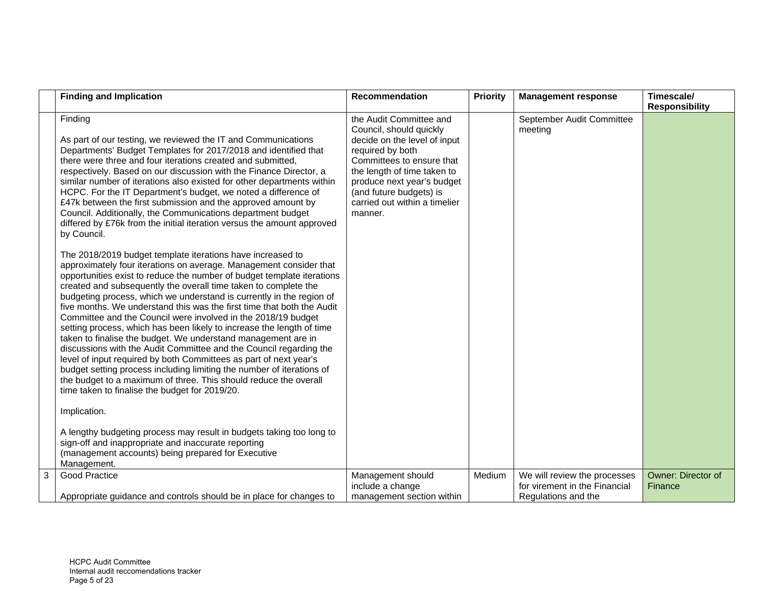|   | <b>Finding and Implication</b>                                                                                                                                                                                                                                                                                                                                                                                                                                                                                                                                                                                                                                                                                                                                                                                                                                                                                                                                                       | <b>Recommendation</b>                                                                                                                                                                                                                                                   | <b>Priority</b> | <b>Management response</b>                                                           | Timescale/<br><b>Responsibility</b> |
|---|--------------------------------------------------------------------------------------------------------------------------------------------------------------------------------------------------------------------------------------------------------------------------------------------------------------------------------------------------------------------------------------------------------------------------------------------------------------------------------------------------------------------------------------------------------------------------------------------------------------------------------------------------------------------------------------------------------------------------------------------------------------------------------------------------------------------------------------------------------------------------------------------------------------------------------------------------------------------------------------|-------------------------------------------------------------------------------------------------------------------------------------------------------------------------------------------------------------------------------------------------------------------------|-----------------|--------------------------------------------------------------------------------------|-------------------------------------|
|   | Finding<br>As part of our testing, we reviewed the IT and Communications<br>Departments' Budget Templates for 2017/2018 and identified that<br>there were three and four iterations created and submitted,<br>respectively. Based on our discussion with the Finance Director, a<br>similar number of iterations also existed for other departments within<br>HCPC. For the IT Department's budget, we noted a difference of<br>£47k between the first submission and the approved amount by<br>Council. Additionally, the Communications department budget<br>differed by £76k from the initial iteration versus the amount approved<br>by Council.                                                                                                                                                                                                                                                                                                                                 | the Audit Committee and<br>Council, should quickly<br>decide on the level of input<br>required by both<br>Committees to ensure that<br>the length of time taken to<br>produce next year's budget<br>(and future budgets) is<br>carried out within a timelier<br>manner. |                 | September Audit Committee<br>meeting                                                 |                                     |
|   | The 2018/2019 budget template iterations have increased to<br>approximately four iterations on average. Management consider that<br>opportunities exist to reduce the number of budget template iterations<br>created and subsequently the overall time taken to complete the<br>budgeting process, which we understand is currently in the region of<br>five months. We understand this was the first time that both the Audit<br>Committee and the Council were involved in the 2018/19 budget<br>setting process, which has been likely to increase the length of time<br>taken to finalise the budget. We understand management are in<br>discussions with the Audit Committee and the Council regarding the<br>level of input required by both Committees as part of next year's<br>budget setting process including limiting the number of iterations of<br>the budget to a maximum of three. This should reduce the overall<br>time taken to finalise the budget for 2019/20. |                                                                                                                                                                                                                                                                         |                 |                                                                                      |                                     |
|   | Implication.                                                                                                                                                                                                                                                                                                                                                                                                                                                                                                                                                                                                                                                                                                                                                                                                                                                                                                                                                                         |                                                                                                                                                                                                                                                                         |                 |                                                                                      |                                     |
|   | A lengthy budgeting process may result in budgets taking too long to<br>sign-off and inappropriate and inaccurate reporting<br>(management accounts) being prepared for Executive<br>Management.                                                                                                                                                                                                                                                                                                                                                                                                                                                                                                                                                                                                                                                                                                                                                                                     |                                                                                                                                                                                                                                                                         |                 |                                                                                      |                                     |
| 3 | Good Practice<br>Appropriate guidance and controls should be in place for changes to                                                                                                                                                                                                                                                                                                                                                                                                                                                                                                                                                                                                                                                                                                                                                                                                                                                                                                 | Management should<br>include a change<br>management section within                                                                                                                                                                                                      | Medium          | We will review the processes<br>for virement in the Financial<br>Regulations and the | Owner: Director of<br>Finance       |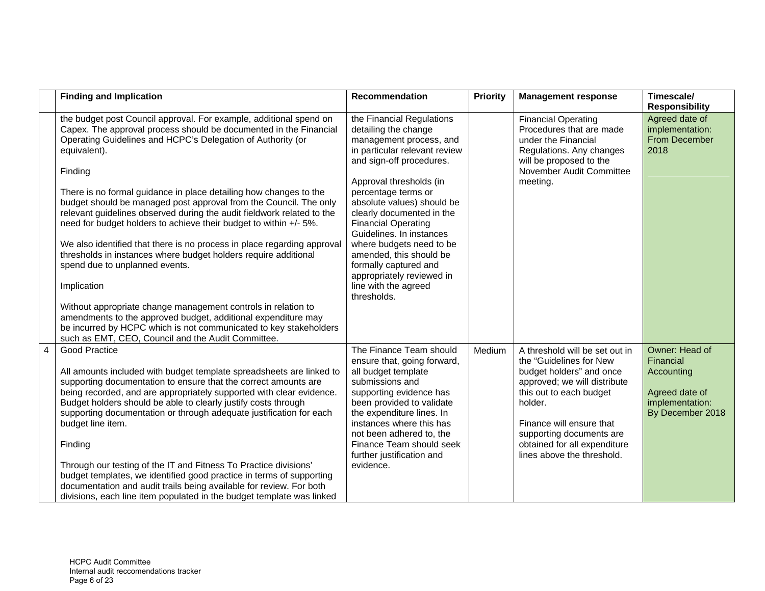|   | <b>Finding and Implication</b>                                                                                                                                                                                                                                                                                                                                                                                                                                                                                                                                                                                                                                                                                                                                                                                                                                                                                                                                                         | <b>Recommendation</b>                                                                                                                                                                                                                                                                                                                                                                                                                                                | Priority | <b>Management response</b>                                                                                                                                                                                                                                                        | Timescale/<br><b>Responsibility</b>                                                                |
|---|----------------------------------------------------------------------------------------------------------------------------------------------------------------------------------------------------------------------------------------------------------------------------------------------------------------------------------------------------------------------------------------------------------------------------------------------------------------------------------------------------------------------------------------------------------------------------------------------------------------------------------------------------------------------------------------------------------------------------------------------------------------------------------------------------------------------------------------------------------------------------------------------------------------------------------------------------------------------------------------|----------------------------------------------------------------------------------------------------------------------------------------------------------------------------------------------------------------------------------------------------------------------------------------------------------------------------------------------------------------------------------------------------------------------------------------------------------------------|----------|-----------------------------------------------------------------------------------------------------------------------------------------------------------------------------------------------------------------------------------------------------------------------------------|----------------------------------------------------------------------------------------------------|
|   | the budget post Council approval. For example, additional spend on<br>Capex. The approval process should be documented in the Financial<br>Operating Guidelines and HCPC's Delegation of Authority (or<br>equivalent).<br>Finding<br>There is no formal guidance in place detailing how changes to the<br>budget should be managed post approval from the Council. The only<br>relevant guidelines observed during the audit fieldwork related to the<br>need for budget holders to achieve their budget to within +/- 5%.<br>We also identified that there is no process in place regarding approval<br>thresholds in instances where budget holders require additional<br>spend due to unplanned events.<br>Implication<br>Without appropriate change management controls in relation to<br>amendments to the approved budget, additional expenditure may<br>be incurred by HCPC which is not communicated to key stakeholders<br>such as EMT, CEO, Council and the Audit Committee. | the Financial Regulations<br>detailing the change<br>management process, and<br>in particular relevant review<br>and sign-off procedures.<br>Approval thresholds (in<br>percentage terms or<br>absolute values) should be<br>clearly documented in the<br><b>Financial Operating</b><br>Guidelines. In instances<br>where budgets need to be<br>amended, this should be<br>formally captured and<br>appropriately reviewed in<br>line with the agreed<br>thresholds. |          | <b>Financial Operating</b><br>Procedures that are made<br>under the Financial<br>Regulations. Any changes<br>will be proposed to the<br>November Audit Committee<br>meeting.                                                                                                      | Agreed date of<br>implementation:<br>From December<br>2018                                         |
| 4 | Good Practice<br>All amounts included with budget template spreadsheets are linked to<br>supporting documentation to ensure that the correct amounts are<br>being recorded, and are appropriately supported with clear evidence.<br>Budget holders should be able to clearly justify costs through<br>supporting documentation or through adequate justification for each<br>budget line item.<br>Finding<br>Through our testing of the IT and Fitness To Practice divisions'<br>budget templates, we identified good practice in terms of supporting<br>documentation and audit trails being available for review. For both<br>divisions, each line item populated in the budget template was linked                                                                                                                                                                                                                                                                                  | The Finance Team should<br>ensure that, going forward,<br>all budget template<br>submissions and<br>supporting evidence has<br>been provided to validate<br>the expenditure lines. In<br>instances where this has<br>not been adhered to, the<br>Finance Team should seek<br>further justification and<br>evidence.                                                                                                                                                  | Medium   | A threshold will be set out in<br>the "Guidelines for New<br>budget holders" and once<br>approved; we will distribute<br>this out to each budget<br>holder.<br>Finance will ensure that<br>supporting documents are<br>obtained for all expenditure<br>lines above the threshold. | Owner: Head of<br>Financial<br>Accounting<br>Agreed date of<br>implementation:<br>By December 2018 |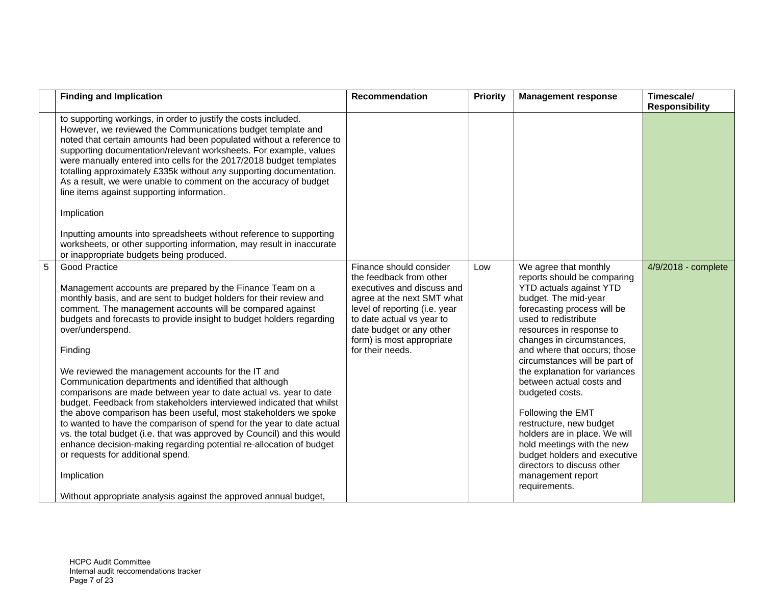|   | <b>Finding and Implication</b>                                                                                                                                                                                                                                                                                                                                                                                                                                                                                                                                                                                                                                                                                                                                                                                                                                                                                                                                                                           | <b>Recommendation</b>                                                                                                                                                                                                                                     | <b>Priority</b> | <b>Management response</b>                                                                                                                                                                                                                                                                                                                                                                                                                                                                                                                                                                         | Timescale/<br><b>Responsibility</b> |
|---|----------------------------------------------------------------------------------------------------------------------------------------------------------------------------------------------------------------------------------------------------------------------------------------------------------------------------------------------------------------------------------------------------------------------------------------------------------------------------------------------------------------------------------------------------------------------------------------------------------------------------------------------------------------------------------------------------------------------------------------------------------------------------------------------------------------------------------------------------------------------------------------------------------------------------------------------------------------------------------------------------------|-----------------------------------------------------------------------------------------------------------------------------------------------------------------------------------------------------------------------------------------------------------|-----------------|----------------------------------------------------------------------------------------------------------------------------------------------------------------------------------------------------------------------------------------------------------------------------------------------------------------------------------------------------------------------------------------------------------------------------------------------------------------------------------------------------------------------------------------------------------------------------------------------------|-------------------------------------|
|   | to supporting workings, in order to justify the costs included.<br>However, we reviewed the Communications budget template and<br>noted that certain amounts had been populated without a reference to<br>supporting documentation/relevant worksheets. For example, values<br>were manually entered into cells for the 2017/2018 budget templates<br>totalling approximately £335k without any supporting documentation.<br>As a result, we were unable to comment on the accuracy of budget<br>line items against supporting information.                                                                                                                                                                                                                                                                                                                                                                                                                                                              |                                                                                                                                                                                                                                                           |                 |                                                                                                                                                                                                                                                                                                                                                                                                                                                                                                                                                                                                    |                                     |
|   | Implication                                                                                                                                                                                                                                                                                                                                                                                                                                                                                                                                                                                                                                                                                                                                                                                                                                                                                                                                                                                              |                                                                                                                                                                                                                                                           |                 |                                                                                                                                                                                                                                                                                                                                                                                                                                                                                                                                                                                                    |                                     |
|   | Inputting amounts into spreadsheets without reference to supporting<br>worksheets, or other supporting information, may result in inaccurate<br>or inappropriate budgets being produced.                                                                                                                                                                                                                                                                                                                                                                                                                                                                                                                                                                                                                                                                                                                                                                                                                 |                                                                                                                                                                                                                                                           |                 |                                                                                                                                                                                                                                                                                                                                                                                                                                                                                                                                                                                                    |                                     |
| 5 | Good Practice<br>Management accounts are prepared by the Finance Team on a<br>monthly basis, and are sent to budget holders for their review and<br>comment. The management accounts will be compared against<br>budgets and forecasts to provide insight to budget holders regarding<br>over/underspend.<br>Finding<br>We reviewed the management accounts for the IT and<br>Communication departments and identified that although<br>comparisons are made between year to date actual vs. year to date<br>budget. Feedback from stakeholders interviewed indicated that whilst<br>the above comparison has been useful, most stakeholders we spoke<br>to wanted to have the comparison of spend for the year to date actual<br>vs. the total budget (i.e. that was approved by Council) and this would<br>enhance decision-making regarding potential re-allocation of budget<br>or requests for additional spend.<br>Implication<br>Without appropriate analysis against the approved annual budget, | Finance should consider<br>the feedback from other<br>executives and discuss and<br>agree at the next SMT what<br>level of reporting (i.e. year<br>to date actual vs year to<br>date budget or any other<br>form) is most appropriate<br>for their needs. | Low             | We agree that monthly<br>reports should be comparing<br><b>YTD actuals against YTD</b><br>budget. The mid-year<br>forecasting process will be<br>used to redistribute<br>resources in response to<br>changes in circumstances,<br>and where that occurs; those<br>circumstances will be part of<br>the explanation for variances<br>between actual costs and<br>budgeted costs.<br>Following the EMT<br>restructure, new budget<br>holders are in place. We will<br>hold meetings with the new<br>budget holders and executive<br>directors to discuss other<br>management report<br>requirements. | 4/9/2018 - complete                 |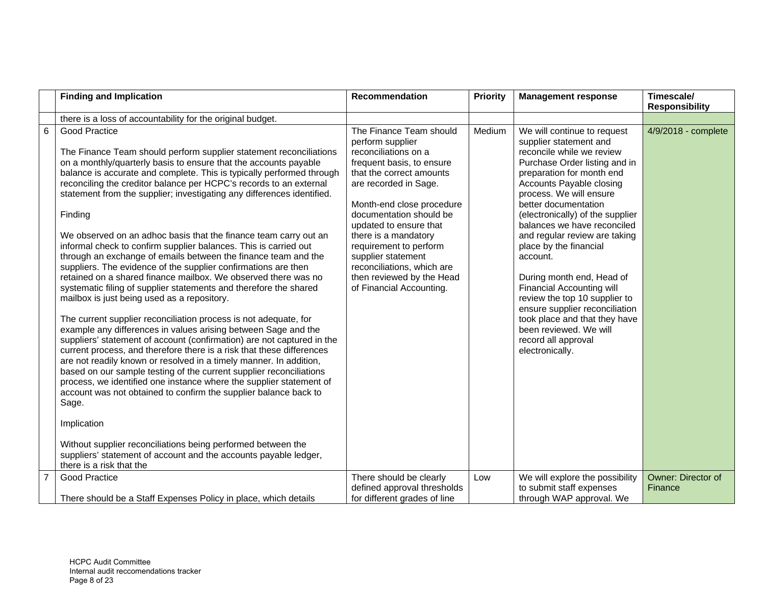|                | <b>Finding and Implication</b>                                                                                                                                                                                                                                                                                                                                                                                                                                                                                                                                                                                                                                                                                                                                                                                                                                                                                                                                                                                                                                                                                                                                                                                                                                                                                                                                                                                                                                                                                                                                                                                                                | Recommendation                                                                                                                                                                                                                                                                                                                                                                                         | Priority | <b>Management response</b>                                                                                                                                                                                                                                                                                                                                                                                                                                                                                                                                                                                         | Timescale/<br><b>Responsibility</b>  |
|----------------|-----------------------------------------------------------------------------------------------------------------------------------------------------------------------------------------------------------------------------------------------------------------------------------------------------------------------------------------------------------------------------------------------------------------------------------------------------------------------------------------------------------------------------------------------------------------------------------------------------------------------------------------------------------------------------------------------------------------------------------------------------------------------------------------------------------------------------------------------------------------------------------------------------------------------------------------------------------------------------------------------------------------------------------------------------------------------------------------------------------------------------------------------------------------------------------------------------------------------------------------------------------------------------------------------------------------------------------------------------------------------------------------------------------------------------------------------------------------------------------------------------------------------------------------------------------------------------------------------------------------------------------------------|--------------------------------------------------------------------------------------------------------------------------------------------------------------------------------------------------------------------------------------------------------------------------------------------------------------------------------------------------------------------------------------------------------|----------|--------------------------------------------------------------------------------------------------------------------------------------------------------------------------------------------------------------------------------------------------------------------------------------------------------------------------------------------------------------------------------------------------------------------------------------------------------------------------------------------------------------------------------------------------------------------------------------------------------------------|--------------------------------------|
|                | there is a loss of accountability for the original budget.                                                                                                                                                                                                                                                                                                                                                                                                                                                                                                                                                                                                                                                                                                                                                                                                                                                                                                                                                                                                                                                                                                                                                                                                                                                                                                                                                                                                                                                                                                                                                                                    |                                                                                                                                                                                                                                                                                                                                                                                                        |          |                                                                                                                                                                                                                                                                                                                                                                                                                                                                                                                                                                                                                    |                                      |
| 6              | <b>Good Practice</b><br>The Finance Team should perform supplier statement reconciliations<br>on a monthly/quarterly basis to ensure that the accounts payable<br>balance is accurate and complete. This is typically performed through<br>reconciling the creditor balance per HCPC's records to an external<br>statement from the supplier; investigating any differences identified.<br>Finding<br>We observed on an adhoc basis that the finance team carry out an<br>informal check to confirm supplier balances. This is carried out<br>through an exchange of emails between the finance team and the<br>suppliers. The evidence of the supplier confirmations are then<br>retained on a shared finance mailbox. We observed there was no<br>systematic filing of supplier statements and therefore the shared<br>mailbox is just being used as a repository.<br>The current supplier reconciliation process is not adequate, for<br>example any differences in values arising between Sage and the<br>suppliers' statement of account (confirmation) are not captured in the<br>current process, and therefore there is a risk that these differences<br>are not readily known or resolved in a timely manner. In addition,<br>based on our sample testing of the current supplier reconciliations<br>process, we identified one instance where the supplier statement of<br>account was not obtained to confirm the supplier balance back to<br>Sage.<br>Implication<br>Without supplier reconciliations being performed between the<br>suppliers' statement of account and the accounts payable ledger,<br>there is a risk that the | The Finance Team should<br>perform supplier<br>reconciliations on a<br>frequent basis, to ensure<br>that the correct amounts<br>are recorded in Sage.<br>Month-end close procedure<br>documentation should be<br>updated to ensure that<br>there is a mandatory<br>requirement to perform<br>supplier statement<br>reconciliations, which are<br>then reviewed by the Head<br>of Financial Accounting. | Medium   | We will continue to request<br>supplier statement and<br>reconcile while we review<br>Purchase Order listing and in<br>preparation for month end<br>Accounts Payable closing<br>process. We will ensure<br>better documentation<br>(electronically) of the supplier<br>balances we have reconciled<br>and regular review are taking<br>place by the financial<br>account.<br>During month end, Head of<br><b>Financial Accounting will</b><br>review the top 10 supplier to<br>ensure supplier reconciliation<br>took place and that they have<br>been reviewed. We will<br>record all approval<br>electronically. | 4/9/2018 - complete                  |
| $\overline{7}$ | <b>Good Practice</b>                                                                                                                                                                                                                                                                                                                                                                                                                                                                                                                                                                                                                                                                                                                                                                                                                                                                                                                                                                                                                                                                                                                                                                                                                                                                                                                                                                                                                                                                                                                                                                                                                          | There should be clearly<br>defined approval thresholds                                                                                                                                                                                                                                                                                                                                                 | Low      | We will explore the possibility<br>to submit staff expenses                                                                                                                                                                                                                                                                                                                                                                                                                                                                                                                                                        | <b>Owner: Director of</b><br>Finance |
|                | There should be a Staff Expenses Policy in place, which details                                                                                                                                                                                                                                                                                                                                                                                                                                                                                                                                                                                                                                                                                                                                                                                                                                                                                                                                                                                                                                                                                                                                                                                                                                                                                                                                                                                                                                                                                                                                                                               | for different grades of line                                                                                                                                                                                                                                                                                                                                                                           |          | through WAP approval. We                                                                                                                                                                                                                                                                                                                                                                                                                                                                                                                                                                                           |                                      |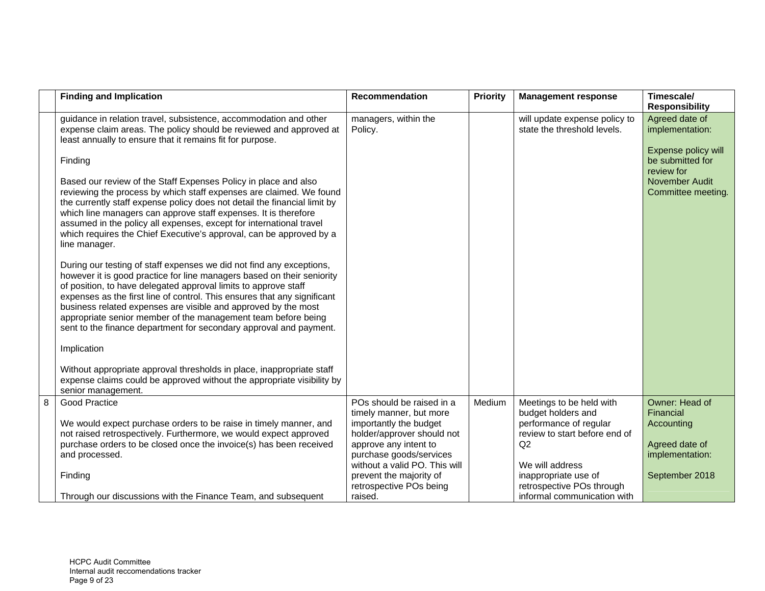|   | <b>Finding and Implication</b>                                                                                                                                                                                                                                                                                                                                                                                                                                                                         | <b>Recommendation</b>                                                          | <b>Priority</b> | <b>Management response</b>                                               | Timescale/<br><b>Responsibility</b>                      |
|---|--------------------------------------------------------------------------------------------------------------------------------------------------------------------------------------------------------------------------------------------------------------------------------------------------------------------------------------------------------------------------------------------------------------------------------------------------------------------------------------------------------|--------------------------------------------------------------------------------|-----------------|--------------------------------------------------------------------------|----------------------------------------------------------|
|   | guidance in relation travel, subsistence, accommodation and other<br>expense claim areas. The policy should be reviewed and approved at<br>least annually to ensure that it remains fit for purpose.                                                                                                                                                                                                                                                                                                   | managers, within the<br>Policy.                                                |                 | will update expense policy to<br>state the threshold levels.             | Agreed date of<br>implementation:<br>Expense policy will |
|   | Finding                                                                                                                                                                                                                                                                                                                                                                                                                                                                                                |                                                                                |                 |                                                                          | be submitted for<br>review for                           |
|   | Based our review of the Staff Expenses Policy in place and also<br>reviewing the process by which staff expenses are claimed. We found<br>the currently staff expense policy does not detail the financial limit by<br>which line managers can approve staff expenses. It is therefore<br>assumed in the policy all expenses, except for international travel<br>which requires the Chief Executive's approval, can be approved by a<br>line manager.                                                  |                                                                                |                 |                                                                          | November Audit<br>Committee meeting.                     |
|   | During our testing of staff expenses we did not find any exceptions,<br>however it is good practice for line managers based on their seniority<br>of position, to have delegated approval limits to approve staff<br>expenses as the first line of control. This ensures that any significant<br>business related expenses are visible and approved by the most<br>appropriate senior member of the management team before being<br>sent to the finance department for secondary approval and payment. |                                                                                |                 |                                                                          |                                                          |
|   | Implication                                                                                                                                                                                                                                                                                                                                                                                                                                                                                            |                                                                                |                 |                                                                          |                                                          |
|   | Without appropriate approval thresholds in place, inappropriate staff<br>expense claims could be approved without the appropriate visibility by<br>senior management.                                                                                                                                                                                                                                                                                                                                  |                                                                                |                 |                                                                          |                                                          |
| 8 | <b>Good Practice</b><br>We would expect purchase orders to be raise in timely manner, and                                                                                                                                                                                                                                                                                                                                                                                                              | POs should be raised in a<br>timely manner, but more<br>importantly the budget | Medium          | Meetings to be held with<br>budget holders and<br>performance of regular | Owner: Head of<br>Financial<br>Accounting                |
|   | not raised retrospectively. Furthermore, we would expect approved<br>purchase orders to be closed once the invoice(s) has been received                                                                                                                                                                                                                                                                                                                                                                | holder/approver should not<br>approve any intent to                            |                 | review to start before end of<br>Q2                                      | Agreed date of                                           |
|   | and processed.                                                                                                                                                                                                                                                                                                                                                                                                                                                                                         | purchase goods/services<br>without a valid PO. This will                       |                 | We will address                                                          | implementation:                                          |
|   | Finding                                                                                                                                                                                                                                                                                                                                                                                                                                                                                                | prevent the majority of<br>retrospective POs being                             |                 | inappropriate use of<br>retrospective POs through                        | September 2018                                           |
|   | Through our discussions with the Finance Team, and subsequent                                                                                                                                                                                                                                                                                                                                                                                                                                          | raised.                                                                        |                 | informal communication with                                              |                                                          |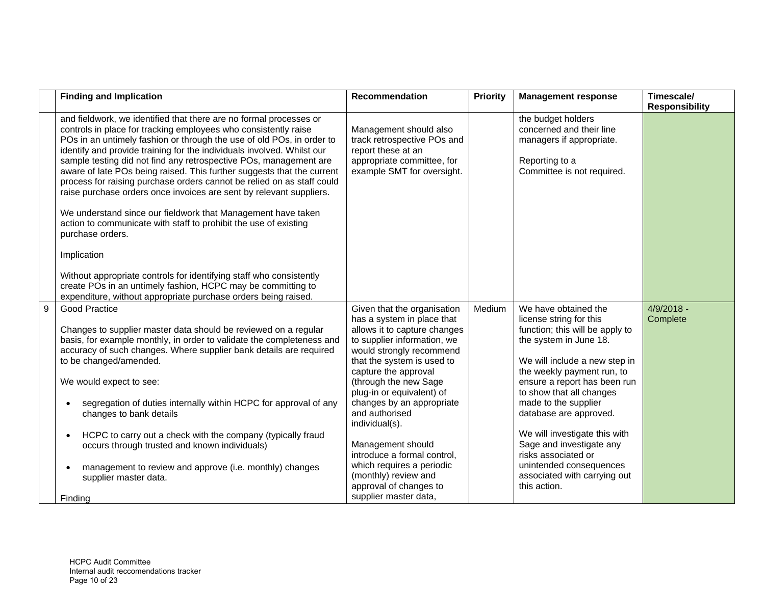|   | <b>Finding and Implication</b>                                                                                                                                                                                                                                                                                                                                                                                                                                                                                                                                                                                                                                                                                                                   | Recommendation                                                                                                                                                                                                                                                                                                                                                                                                                                                                                | <b>Priority</b> | <b>Management response</b>                                                                                                                                                                                                                                                                                                                                                                                                                               | Timescale/<br><b>Responsibility</b> |
|---|--------------------------------------------------------------------------------------------------------------------------------------------------------------------------------------------------------------------------------------------------------------------------------------------------------------------------------------------------------------------------------------------------------------------------------------------------------------------------------------------------------------------------------------------------------------------------------------------------------------------------------------------------------------------------------------------------------------------------------------------------|-----------------------------------------------------------------------------------------------------------------------------------------------------------------------------------------------------------------------------------------------------------------------------------------------------------------------------------------------------------------------------------------------------------------------------------------------------------------------------------------------|-----------------|----------------------------------------------------------------------------------------------------------------------------------------------------------------------------------------------------------------------------------------------------------------------------------------------------------------------------------------------------------------------------------------------------------------------------------------------------------|-------------------------------------|
|   | and fieldwork, we identified that there are no formal processes or<br>controls in place for tracking employees who consistently raise<br>POs in an untimely fashion or through the use of old POs, in order to<br>identify and provide training for the individuals involved. Whilst our<br>sample testing did not find any retrospective POs, management are<br>aware of late POs being raised. This further suggests that the current<br>process for raising purchase orders cannot be relied on as staff could<br>raise purchase orders once invoices are sent by relevant suppliers.<br>We understand since our fieldwork that Management have taken<br>action to communicate with staff to prohibit the use of existing<br>purchase orders. | Management should also<br>track retrospective POs and<br>report these at an<br>appropriate committee, for<br>example SMT for oversight.                                                                                                                                                                                                                                                                                                                                                       |                 | the budget holders<br>concerned and their line<br>managers if appropriate.<br>Reporting to a<br>Committee is not required.                                                                                                                                                                                                                                                                                                                               |                                     |
|   | Implication<br>Without appropriate controls for identifying staff who consistently<br>create POs in an untimely fashion, HCPC may be committing to<br>expenditure, without appropriate purchase orders being raised.                                                                                                                                                                                                                                                                                                                                                                                                                                                                                                                             |                                                                                                                                                                                                                                                                                                                                                                                                                                                                                               |                 |                                                                                                                                                                                                                                                                                                                                                                                                                                                          |                                     |
| 9 | <b>Good Practice</b><br>Changes to supplier master data should be reviewed on a regular<br>basis, for example monthly, in order to validate the completeness and<br>accuracy of such changes. Where supplier bank details are required<br>to be changed/amended.<br>We would expect to see:<br>segregation of duties internally within HCPC for approval of any<br>changes to bank details<br>HCPC to carry out a check with the company (typically fraud<br>occurs through trusted and known individuals)<br>management to review and approve (i.e. monthly) changes<br>supplier master data.<br>Finding                                                                                                                                        | Given that the organisation<br>has a system in place that<br>allows it to capture changes<br>to supplier information, we<br>would strongly recommend<br>that the system is used to<br>capture the approval<br>(through the new Sage<br>plug-in or equivalent) of<br>changes by an appropriate<br>and authorised<br>individual(s).<br>Management should<br>introduce a formal control,<br>which requires a periodic<br>(monthly) review and<br>approval of changes to<br>supplier master data, | Medium          | We have obtained the<br>license string for this<br>function; this will be apply to<br>the system in June 18.<br>We will include a new step in<br>the weekly payment run, to<br>ensure a report has been run<br>to show that all changes<br>made to the supplier<br>database are approved.<br>We will investigate this with<br>Sage and investigate any<br>risks associated or<br>unintended consequences<br>associated with carrying out<br>this action. | $4/9/2018 -$<br>Complete            |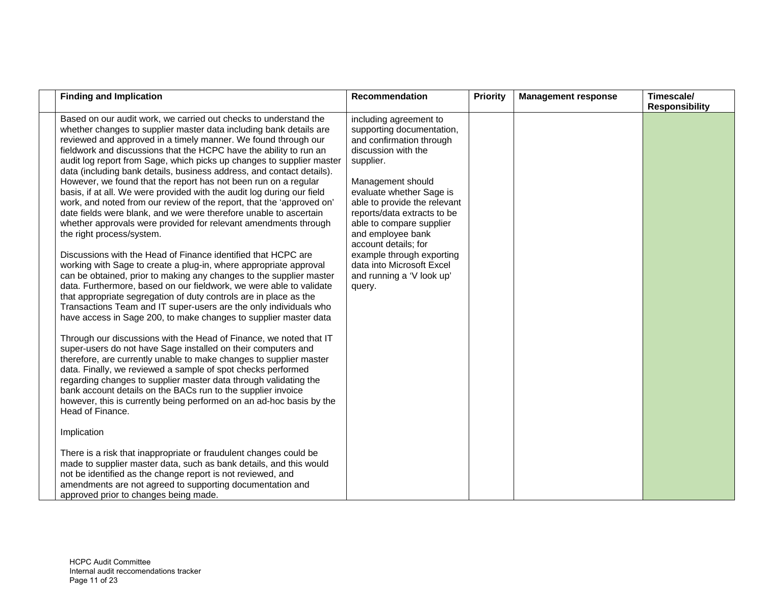| <b>Finding and Implication</b><br><b>Recommendation</b>                                                                                                                                                                                                                                                                                                                                                                                                                                                                                                                                                                                                                                                                                                                                                                                                                                                                                                                                                                                                                                                                                                                                                                                                                                                                                                                                                                                                                                                                                                                                                                                                                                                                                                                                                                                                                                                                                                                                                                                                                                                                                                                                                                                                                                   | <b>Priority</b>                                                                                                                                                                                                                                                                               | <b>Management response</b> | Timescale/<br><b>Responsibility</b> |
|-------------------------------------------------------------------------------------------------------------------------------------------------------------------------------------------------------------------------------------------------------------------------------------------------------------------------------------------------------------------------------------------------------------------------------------------------------------------------------------------------------------------------------------------------------------------------------------------------------------------------------------------------------------------------------------------------------------------------------------------------------------------------------------------------------------------------------------------------------------------------------------------------------------------------------------------------------------------------------------------------------------------------------------------------------------------------------------------------------------------------------------------------------------------------------------------------------------------------------------------------------------------------------------------------------------------------------------------------------------------------------------------------------------------------------------------------------------------------------------------------------------------------------------------------------------------------------------------------------------------------------------------------------------------------------------------------------------------------------------------------------------------------------------------------------------------------------------------------------------------------------------------------------------------------------------------------------------------------------------------------------------------------------------------------------------------------------------------------------------------------------------------------------------------------------------------------------------------------------------------------------------------------------------------|-----------------------------------------------------------------------------------------------------------------------------------------------------------------------------------------------------------------------------------------------------------------------------------------------|----------------------------|-------------------------------------|
| Based on our audit work, we carried out checks to understand the<br>whether changes to supplier master data including bank details are<br>reviewed and approved in a timely manner. We found through our<br>fieldwork and discussions that the HCPC have the ability to run an<br>discussion with the<br>audit log report from Sage, which picks up changes to supplier master<br>supplier.<br>data (including bank details, business address, and contact details).<br>However, we found that the report has not been run on a regular<br>Management should<br>basis, if at all. We were provided with the audit log during our field<br>work, and noted from our review of the report, that the 'approved on'<br>date fields were blank, and we were therefore unable to ascertain<br>whether approvals were provided for relevant amendments through<br>the right process/system.<br>and employee bank<br>account details; for<br>Discussions with the Head of Finance identified that HCPC are<br>working with Sage to create a plug-in, where appropriate approval<br>can be obtained, prior to making any changes to the supplier master<br>data. Furthermore, based on our fieldwork, we were able to validate<br>query.<br>that appropriate segregation of duty controls are in place as the<br>Transactions Team and IT super-users are the only individuals who<br>have access in Sage 200, to make changes to supplier master data<br>Through our discussions with the Head of Finance, we noted that IT<br>super-users do not have Sage installed on their computers and<br>therefore, are currently unable to make changes to supplier master<br>data. Finally, we reviewed a sample of spot checks performed<br>regarding changes to supplier master data through validating the<br>bank account details on the BACs run to the supplier invoice<br>however, this is currently being performed on an ad-hoc basis by the<br>Head of Finance.<br>Implication<br>There is a risk that inappropriate or fraudulent changes could be<br>made to supplier master data, such as bank details, and this would<br>not be identified as the change report is not reviewed, and<br>amendments are not agreed to supporting documentation and<br>approved prior to changes being made. | including agreement to<br>supporting documentation,<br>and confirmation through<br>evaluate whether Sage is<br>able to provide the relevant<br>reports/data extracts to be<br>able to compare supplier<br>example through exporting<br>data into Microsoft Excel<br>and running a 'V look up' |                            |                                     |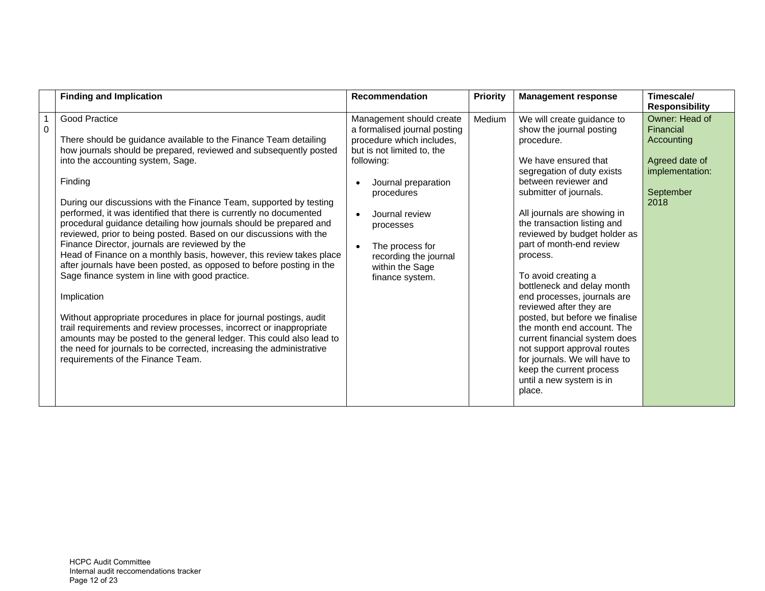|                | <b>Finding and Implication</b>                                                                                                                                                                                                                                                                                                                                                                                                                                                                                                                                                                                                                                                                                                                                                                                                                                                                                                                                                                                                                                                                       | <b>Recommendation</b>                                                                                                                                                                                                                                                                   | <b>Priority</b> | <b>Management response</b>                                                                                                                                                                                                                                                                                                                                                                                                                                                                                                                                                                                                                                           | Timescale/<br><b>Responsibility</b>                                                                 |
|----------------|------------------------------------------------------------------------------------------------------------------------------------------------------------------------------------------------------------------------------------------------------------------------------------------------------------------------------------------------------------------------------------------------------------------------------------------------------------------------------------------------------------------------------------------------------------------------------------------------------------------------------------------------------------------------------------------------------------------------------------------------------------------------------------------------------------------------------------------------------------------------------------------------------------------------------------------------------------------------------------------------------------------------------------------------------------------------------------------------------|-----------------------------------------------------------------------------------------------------------------------------------------------------------------------------------------------------------------------------------------------------------------------------------------|-----------------|----------------------------------------------------------------------------------------------------------------------------------------------------------------------------------------------------------------------------------------------------------------------------------------------------------------------------------------------------------------------------------------------------------------------------------------------------------------------------------------------------------------------------------------------------------------------------------------------------------------------------------------------------------------------|-----------------------------------------------------------------------------------------------------|
| $\overline{0}$ | Good Practice<br>There should be guidance available to the Finance Team detailing<br>how journals should be prepared, reviewed and subsequently posted<br>into the accounting system, Sage.<br>Finding<br>During our discussions with the Finance Team, supported by testing<br>performed, it was identified that there is currently no documented<br>procedural guidance detailing how journals should be prepared and<br>reviewed, prior to being posted. Based on our discussions with the<br>Finance Director, journals are reviewed by the<br>Head of Finance on a monthly basis, however, this review takes place<br>after journals have been posted, as opposed to before posting in the<br>Sage finance system in line with good practice.<br>Implication<br>Without appropriate procedures in place for journal postings, audit<br>trail requirements and review processes, incorrect or inappropriate<br>amounts may be posted to the general ledger. This could also lead to<br>the need for journals to be corrected, increasing the administrative<br>requirements of the Finance Team. | Management should create<br>a formalised journal posting<br>procedure which includes,<br>but is not limited to, the<br>following:<br>Journal preparation<br>procedures<br>Journal review<br>processes<br>The process for<br>recording the journal<br>within the Sage<br>finance system. | Medium          | We will create guidance to<br>show the journal posting<br>procedure.<br>We have ensured that<br>segregation of duty exists<br>between reviewer and<br>submitter of journals.<br>All journals are showing in<br>the transaction listing and<br>reviewed by budget holder as<br>part of month-end review<br>process.<br>To avoid creating a<br>bottleneck and delay month<br>end processes, journals are<br>reviewed after they are<br>posted, but before we finalise<br>the month end account. The<br>current financial system does<br>not support approval routes<br>for journals. We will have to<br>keep the current process<br>until a new system is in<br>place. | Owner: Head of<br>Financial<br>Accounting<br>Agreed date of<br>implementation:<br>September<br>2018 |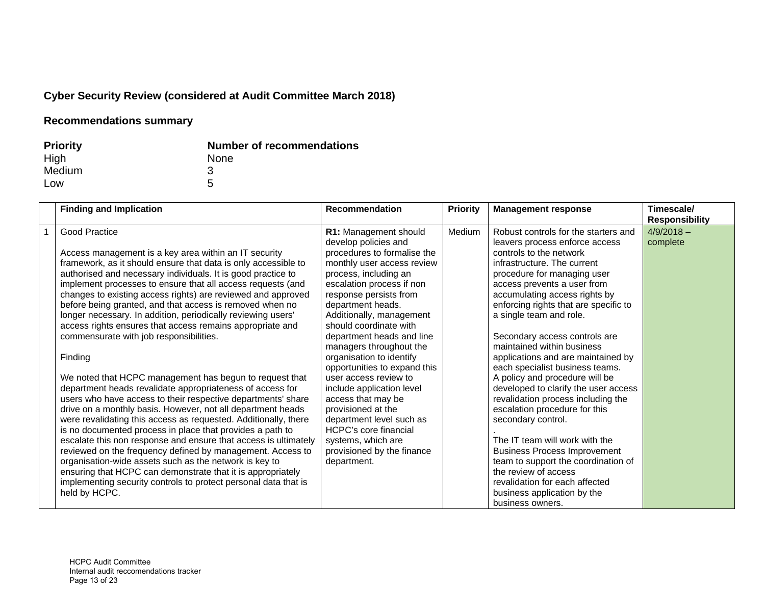# **Cyber Security Review (considered at Audit Committee March 2018)**

| <b>Priority</b> | <b>Number of recommendations</b> |
|-----------------|----------------------------------|
| High            | <b>None</b>                      |
| Medium          |                                  |
| Low             | 5                                |

| <b>Finding and Implication</b>                                                                                                                                                                                                                                                                                                                                                                                                                                                                                                                                                                                                                                                                                                                                                                                                                                                                                                                                                                                                                                                                                                                                                                                                                                                                                              | <b>Recommendation</b>                                                                                                                                                                                                                                                                                                                                                                                                                                                                                                                                                                                                      | <b>Priority</b> | <b>Management response</b>                                                                                                                                                                                                                                                                                                                                                                                                                                                                                                                                                                                                                                                                                                                                                                                                  | Timescale/<br><b>Responsibility</b> |
|-----------------------------------------------------------------------------------------------------------------------------------------------------------------------------------------------------------------------------------------------------------------------------------------------------------------------------------------------------------------------------------------------------------------------------------------------------------------------------------------------------------------------------------------------------------------------------------------------------------------------------------------------------------------------------------------------------------------------------------------------------------------------------------------------------------------------------------------------------------------------------------------------------------------------------------------------------------------------------------------------------------------------------------------------------------------------------------------------------------------------------------------------------------------------------------------------------------------------------------------------------------------------------------------------------------------------------|----------------------------------------------------------------------------------------------------------------------------------------------------------------------------------------------------------------------------------------------------------------------------------------------------------------------------------------------------------------------------------------------------------------------------------------------------------------------------------------------------------------------------------------------------------------------------------------------------------------------------|-----------------|-----------------------------------------------------------------------------------------------------------------------------------------------------------------------------------------------------------------------------------------------------------------------------------------------------------------------------------------------------------------------------------------------------------------------------------------------------------------------------------------------------------------------------------------------------------------------------------------------------------------------------------------------------------------------------------------------------------------------------------------------------------------------------------------------------------------------------|-------------------------------------|
| Good Practice<br>Access management is a key area within an IT security<br>framework, as it should ensure that data is only accessible to<br>authorised and necessary individuals. It is good practice to<br>implement processes to ensure that all access requests (and<br>changes to existing access rights) are reviewed and approved<br>before being granted, and that access is removed when no<br>longer necessary. In addition, periodically reviewing users'<br>access rights ensures that access remains appropriate and<br>commensurate with job responsibilities.<br>Finding<br>We noted that HCPC management has begun to request that<br>department heads revalidate appropriateness of access for<br>users who have access to their respective departments' share<br>drive on a monthly basis. However, not all department heads<br>were revalidating this access as requested. Additionally, there<br>is no documented process in place that provides a path to<br>escalate this non response and ensure that access is ultimately<br>reviewed on the frequency defined by management. Access to<br>organisation-wide assets such as the network is key to<br>ensuring that HCPC can demonstrate that it is appropriately<br>implementing security controls to protect personal data that is<br>held by HCPC. | R1: Management should<br>develop policies and<br>procedures to formalise the<br>monthly user access review<br>process, including an<br>escalation process if non<br>response persists from<br>department heads.<br>Additionally, management<br>should coordinate with<br>department heads and line<br>managers throughout the<br>organisation to identify<br>opportunities to expand this<br>user access review to<br>include application level<br>access that may be<br>provisioned at the<br>department level such as<br><b>HCPC's core financial</b><br>systems, which are<br>provisioned by the finance<br>department. | Medium          | Robust controls for the starters and<br>leavers process enforce access<br>controls to the network<br>infrastructure. The current<br>procedure for managing user<br>access prevents a user from<br>accumulating access rights by<br>enforcing rights that are specific to<br>a single team and role.<br>Secondary access controls are<br>maintained within business<br>applications and are maintained by<br>each specialist business teams.<br>A policy and procedure will be<br>developed to clarify the user access<br>revalidation process including the<br>escalation procedure for this<br>secondary control.<br>The IT team will work with the<br><b>Business Process Improvement</b><br>team to support the coordination of<br>the review of access<br>revalidation for each affected<br>business application by the | $4/9/2018 -$<br>complete            |
|                                                                                                                                                                                                                                                                                                                                                                                                                                                                                                                                                                                                                                                                                                                                                                                                                                                                                                                                                                                                                                                                                                                                                                                                                                                                                                                             |                                                                                                                                                                                                                                                                                                                                                                                                                                                                                                                                                                                                                            |                 | business owners.                                                                                                                                                                                                                                                                                                                                                                                                                                                                                                                                                                                                                                                                                                                                                                                                            |                                     |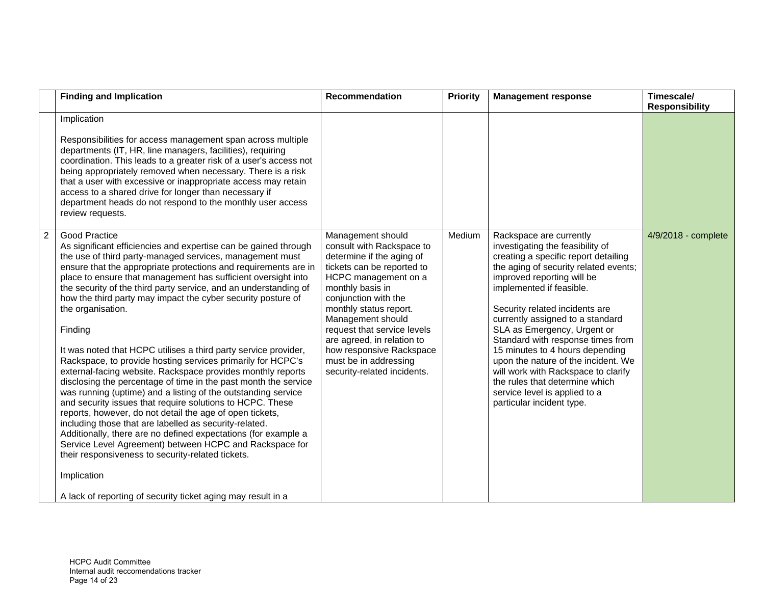|                | <b>Finding and Implication</b>                                                                                                                                                                                                                                                                                                                                                                                                                                                                                                                                                                                                                                                                                                                                                                                                                                                                                                                                                                                                                                                                                                                                                                                                                | Recommendation                                                                                                                                                                                                                                                                                                                                                                | <b>Priority</b> | <b>Management response</b>                                                                                                                                                                                                                                                                                                                                                                                                                                                                                                                                        | Timescale/<br><b>Responsibility</b> |
|----------------|-----------------------------------------------------------------------------------------------------------------------------------------------------------------------------------------------------------------------------------------------------------------------------------------------------------------------------------------------------------------------------------------------------------------------------------------------------------------------------------------------------------------------------------------------------------------------------------------------------------------------------------------------------------------------------------------------------------------------------------------------------------------------------------------------------------------------------------------------------------------------------------------------------------------------------------------------------------------------------------------------------------------------------------------------------------------------------------------------------------------------------------------------------------------------------------------------------------------------------------------------|-------------------------------------------------------------------------------------------------------------------------------------------------------------------------------------------------------------------------------------------------------------------------------------------------------------------------------------------------------------------------------|-----------------|-------------------------------------------------------------------------------------------------------------------------------------------------------------------------------------------------------------------------------------------------------------------------------------------------------------------------------------------------------------------------------------------------------------------------------------------------------------------------------------------------------------------------------------------------------------------|-------------------------------------|
|                | Implication<br>Responsibilities for access management span across multiple<br>departments (IT, HR, line managers, facilities), requiring<br>coordination. This leads to a greater risk of a user's access not<br>being appropriately removed when necessary. There is a risk<br>that a user with excessive or inappropriate access may retain<br>access to a shared drive for longer than necessary if<br>department heads do not respond to the monthly user access<br>review requests.                                                                                                                                                                                                                                                                                                                                                                                                                                                                                                                                                                                                                                                                                                                                                      |                                                                                                                                                                                                                                                                                                                                                                               |                 |                                                                                                                                                                                                                                                                                                                                                                                                                                                                                                                                                                   |                                     |
| $\overline{2}$ | Good Practice<br>As significant efficiencies and expertise can be gained through<br>the use of third party-managed services, management must<br>ensure that the appropriate protections and requirements are in<br>place to ensure that management has sufficient oversight into<br>the security of the third party service, and an understanding of<br>how the third party may impact the cyber security posture of<br>the organisation.<br>Finding<br>It was noted that HCPC utilises a third party service provider,<br>Rackspace, to provide hosting services primarily for HCPC's<br>external-facing website. Rackspace provides monthly reports<br>disclosing the percentage of time in the past month the service<br>was running (uptime) and a listing of the outstanding service<br>and security issues that require solutions to HCPC. These<br>reports, however, do not detail the age of open tickets,<br>including those that are labelled as security-related.<br>Additionally, there are no defined expectations (for example a<br>Service Level Agreement) between HCPC and Rackspace for<br>their responsiveness to security-related tickets.<br>Implication<br>A lack of reporting of security ticket aging may result in a | Management should<br>consult with Rackspace to<br>determine if the aging of<br>tickets can be reported to<br>HCPC management on a<br>monthly basis in<br>conjunction with the<br>monthly status report.<br>Management should<br>request that service levels<br>are agreed, in relation to<br>how responsive Rackspace<br>must be in addressing<br>security-related incidents. | Medium          | Rackspace are currently<br>investigating the feasibility of<br>creating a specific report detailing<br>the aging of security related events;<br>improved reporting will be<br>implemented if feasible.<br>Security related incidents are<br>currently assigned to a standard<br>SLA as Emergency, Urgent or<br>Standard with response times from<br>15 minutes to 4 hours depending<br>upon the nature of the incident. We<br>will work with Rackspace to clarify<br>the rules that determine which<br>service level is applied to a<br>particular incident type. | 4/9/2018 - complete                 |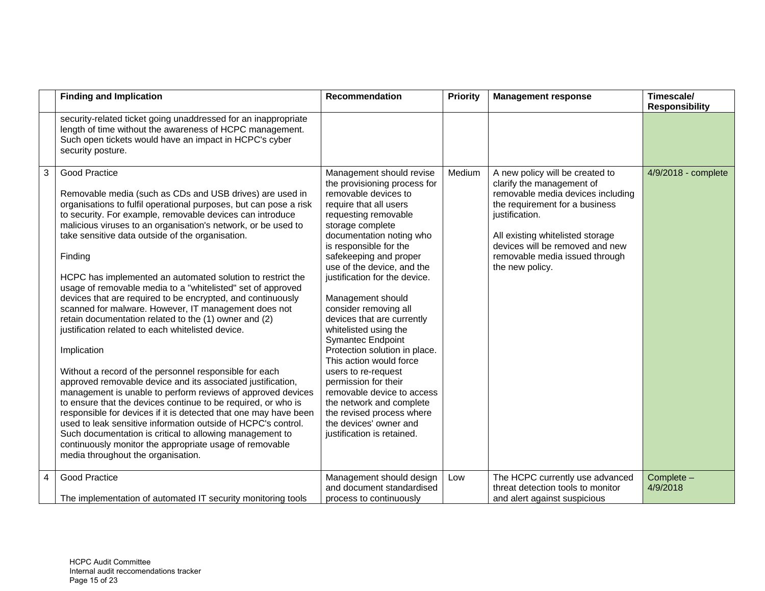|                | <b>Finding and Implication</b>                                                                                                                                                                                                                                                                                                                                                                                                                                                                                                                                                                                                                                                                                                                                                                                                                                                                                                                                                                                                                                                                                                                                                                                                                                                                 | Recommendation                                                                                                                                                                                                                                                                                                                                                                                                                                                                                                                                                                                                                                                                                   | <b>Priority</b> | <b>Management response</b>                                                                                                                                                                                                                                                        | Timescale/<br><b>Responsibility</b> |
|----------------|------------------------------------------------------------------------------------------------------------------------------------------------------------------------------------------------------------------------------------------------------------------------------------------------------------------------------------------------------------------------------------------------------------------------------------------------------------------------------------------------------------------------------------------------------------------------------------------------------------------------------------------------------------------------------------------------------------------------------------------------------------------------------------------------------------------------------------------------------------------------------------------------------------------------------------------------------------------------------------------------------------------------------------------------------------------------------------------------------------------------------------------------------------------------------------------------------------------------------------------------------------------------------------------------|--------------------------------------------------------------------------------------------------------------------------------------------------------------------------------------------------------------------------------------------------------------------------------------------------------------------------------------------------------------------------------------------------------------------------------------------------------------------------------------------------------------------------------------------------------------------------------------------------------------------------------------------------------------------------------------------------|-----------------|-----------------------------------------------------------------------------------------------------------------------------------------------------------------------------------------------------------------------------------------------------------------------------------|-------------------------------------|
|                | security-related ticket going unaddressed for an inappropriate<br>length of time without the awareness of HCPC management.<br>Such open tickets would have an impact in HCPC's cyber<br>security posture.                                                                                                                                                                                                                                                                                                                                                                                                                                                                                                                                                                                                                                                                                                                                                                                                                                                                                                                                                                                                                                                                                      |                                                                                                                                                                                                                                                                                                                                                                                                                                                                                                                                                                                                                                                                                                  |                 |                                                                                                                                                                                                                                                                                   |                                     |
| 3              | <b>Good Practice</b><br>Removable media (such as CDs and USB drives) are used in<br>organisations to fulfil operational purposes, but can pose a risk<br>to security. For example, removable devices can introduce<br>malicious viruses to an organisation's network, or be used to<br>take sensitive data outside of the organisation.<br>Finding<br>HCPC has implemented an automated solution to restrict the<br>usage of removable media to a "whitelisted" set of approved<br>devices that are required to be encrypted, and continuously<br>scanned for malware. However, IT management does not<br>retain documentation related to the (1) owner and (2)<br>justification related to each whitelisted device.<br>Implication<br>Without a record of the personnel responsible for each<br>approved removable device and its associated justification,<br>management is unable to perform reviews of approved devices<br>to ensure that the devices continue to be required, or who is<br>responsible for devices if it is detected that one may have been<br>used to leak sensitive information outside of HCPC's control.<br>Such documentation is critical to allowing management to<br>continuously monitor the appropriate usage of removable<br>media throughout the organisation. | Management should revise<br>the provisioning process for<br>removable devices to<br>require that all users<br>requesting removable<br>storage complete<br>documentation noting who<br>is responsible for the<br>safekeeping and proper<br>use of the device, and the<br>justification for the device.<br>Management should<br>consider removing all<br>devices that are currently<br>whitelisted using the<br><b>Symantec Endpoint</b><br>Protection solution in place.<br>This action would force<br>users to re-request<br>permission for their<br>removable device to access<br>the network and complete<br>the revised process where<br>the devices' owner and<br>justification is retained. | Medium          | A new policy will be created to<br>clarify the management of<br>removable media devices including<br>the requirement for a business<br>justification.<br>All existing whitelisted storage<br>devices will be removed and new<br>removable media issued through<br>the new policy. | 4/9/2018 - complete                 |
| $\overline{4}$ | <b>Good Practice</b><br>The implementation of automated IT security monitoring tools                                                                                                                                                                                                                                                                                                                                                                                                                                                                                                                                                                                                                                                                                                                                                                                                                                                                                                                                                                                                                                                                                                                                                                                                           | Management should design<br>and document standardised<br>process to continuously                                                                                                                                                                                                                                                                                                                                                                                                                                                                                                                                                                                                                 | Low             | The HCPC currently use advanced<br>threat detection tools to monitor<br>and alert against suspicious                                                                                                                                                                              | Complete -<br>4/9/2018              |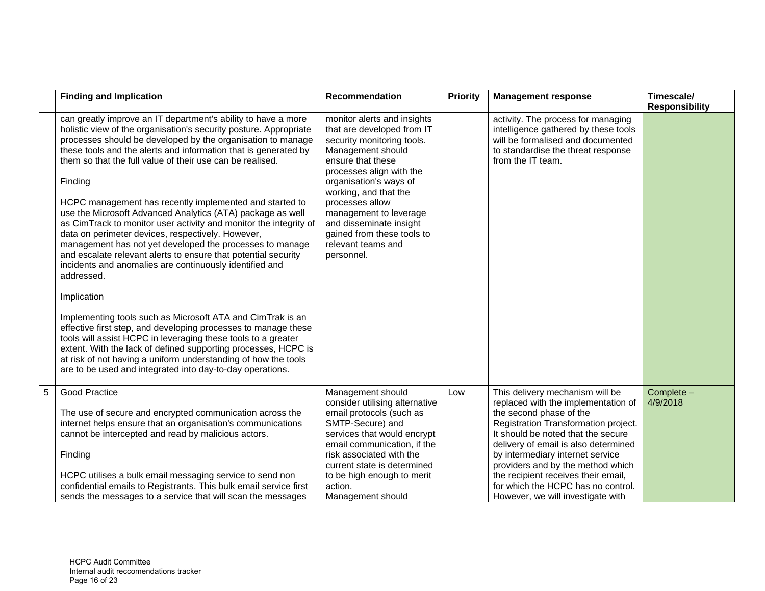|   | <b>Finding and Implication</b>                                                                                                                                                                                                                                                                                                                                                                                                                                                                                                                                                                                                                                                                                                                                                                                                                                                                                                                                                                                                                                                                                                                                                                                          | Recommendation                                                                                                                                                                                                                                                                                                                                             | <b>Priority</b> | <b>Management response</b>                                                                                                                                                                                                                                                                                                                                                                                         | Timescale/<br><b>Responsibility</b> |
|---|-------------------------------------------------------------------------------------------------------------------------------------------------------------------------------------------------------------------------------------------------------------------------------------------------------------------------------------------------------------------------------------------------------------------------------------------------------------------------------------------------------------------------------------------------------------------------------------------------------------------------------------------------------------------------------------------------------------------------------------------------------------------------------------------------------------------------------------------------------------------------------------------------------------------------------------------------------------------------------------------------------------------------------------------------------------------------------------------------------------------------------------------------------------------------------------------------------------------------|------------------------------------------------------------------------------------------------------------------------------------------------------------------------------------------------------------------------------------------------------------------------------------------------------------------------------------------------------------|-----------------|--------------------------------------------------------------------------------------------------------------------------------------------------------------------------------------------------------------------------------------------------------------------------------------------------------------------------------------------------------------------------------------------------------------------|-------------------------------------|
|   | can greatly improve an IT department's ability to have a more<br>holistic view of the organisation's security posture. Appropriate<br>processes should be developed by the organisation to manage<br>these tools and the alerts and information that is generated by<br>them so that the full value of their use can be realised.<br>Finding<br>HCPC management has recently implemented and started to<br>use the Microsoft Advanced Analytics (ATA) package as well<br>as CimTrack to monitor user activity and monitor the integrity of<br>data on perimeter devices, respectively. However,<br>management has not yet developed the processes to manage<br>and escalate relevant alerts to ensure that potential security<br>incidents and anomalies are continuously identified and<br>addressed.<br>Implication<br>Implementing tools such as Microsoft ATA and CimTrak is an<br>effective first step, and developing processes to manage these<br>tools will assist HCPC in leveraging these tools to a greater<br>extent. With the lack of defined supporting processes, HCPC is<br>at risk of not having a uniform understanding of how the tools<br>are to be used and integrated into day-to-day operations. | monitor alerts and insights<br>that are developed from IT<br>security monitoring tools.<br>Management should<br>ensure that these<br>processes align with the<br>organisation's ways of<br>working, and that the<br>processes allow<br>management to leverage<br>and disseminate insight<br>gained from these tools to<br>relevant teams and<br>personnel. |                 | activity. The process for managing<br>intelligence gathered by these tools<br>will be formalised and documented<br>to standardise the threat response<br>from the IT team.                                                                                                                                                                                                                                         |                                     |
| 5 | Good Practice<br>The use of secure and encrypted communication across the<br>internet helps ensure that an organisation's communications<br>cannot be intercepted and read by malicious actors.<br>Finding<br>HCPC utilises a bulk email messaging service to send non<br>confidential emails to Registrants. This bulk email service first<br>sends the messages to a service that will scan the messages                                                                                                                                                                                                                                                                                                                                                                                                                                                                                                                                                                                                                                                                                                                                                                                                              | Management should<br>consider utilising alternative<br>email protocols (such as<br>SMTP-Secure) and<br>services that would encrypt<br>email communication, if the<br>risk associated with the<br>current state is determined<br>to be high enough to merit<br>action.<br>Management should                                                                 | Low             | This delivery mechanism will be<br>replaced with the implementation of<br>the second phase of the<br>Registration Transformation project.<br>It should be noted that the secure<br>delivery of email is also determined<br>by intermediary internet service<br>providers and by the method which<br>the recipient receives their email,<br>for which the HCPC has no control.<br>However, we will investigate with | Complete -<br>4/9/2018              |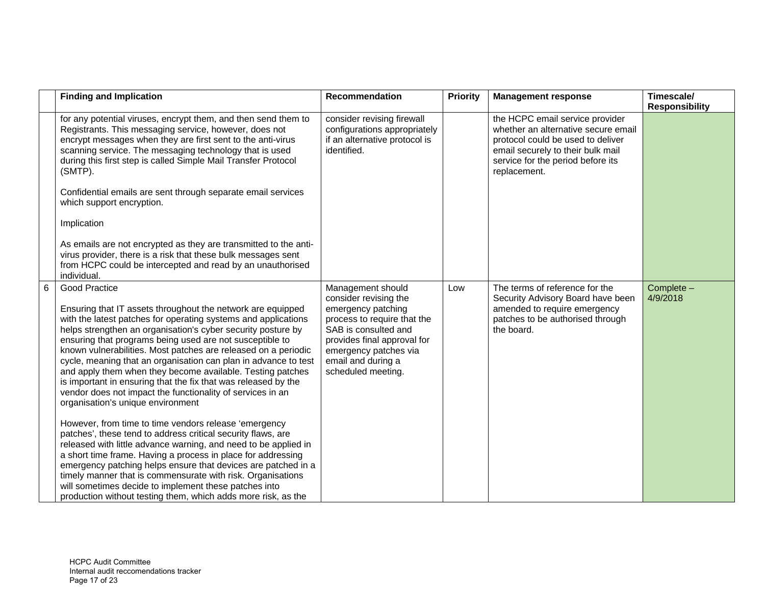|   | <b>Finding and Implication</b>                                                                                                                                                                                                                                                                                                                                                                                                                                                                                                                                                                                                                                                                                                                                                                                                                                                                                                                                                                                                                                                                                                                                                                 | Recommendation                                                                                                                                                                                                              | <b>Priority</b> | <b>Management response</b>                                                                                                                                                                            | Timescale/<br><b>Responsibility</b> |
|---|------------------------------------------------------------------------------------------------------------------------------------------------------------------------------------------------------------------------------------------------------------------------------------------------------------------------------------------------------------------------------------------------------------------------------------------------------------------------------------------------------------------------------------------------------------------------------------------------------------------------------------------------------------------------------------------------------------------------------------------------------------------------------------------------------------------------------------------------------------------------------------------------------------------------------------------------------------------------------------------------------------------------------------------------------------------------------------------------------------------------------------------------------------------------------------------------|-----------------------------------------------------------------------------------------------------------------------------------------------------------------------------------------------------------------------------|-----------------|-------------------------------------------------------------------------------------------------------------------------------------------------------------------------------------------------------|-------------------------------------|
|   | for any potential viruses, encrypt them, and then send them to<br>Registrants. This messaging service, however, does not<br>encrypt messages when they are first sent to the anti-virus<br>scanning service. The messaging technology that is used<br>during this first step is called Simple Mail Transfer Protocol<br>(SMTP).<br>Confidential emails are sent through separate email services<br>which support encryption.<br>Implication<br>As emails are not encrypted as they are transmitted to the anti-<br>virus provider, there is a risk that these bulk messages sent<br>from HCPC could be intercepted and read by an unauthorised                                                                                                                                                                                                                                                                                                                                                                                                                                                                                                                                                 | consider revising firewall<br>configurations appropriately<br>if an alternative protocol is<br>identified.                                                                                                                  |                 | the HCPC email service provider<br>whether an alternative secure email<br>protocol could be used to deliver<br>email securely to their bulk mail<br>service for the period before its<br>replacement. |                                     |
| 6 | individual.<br><b>Good Practice</b><br>Ensuring that IT assets throughout the network are equipped<br>with the latest patches for operating systems and applications<br>helps strengthen an organisation's cyber security posture by<br>ensuring that programs being used are not susceptible to<br>known vulnerabilities. Most patches are released on a periodic<br>cycle, meaning that an organisation can plan in advance to test<br>and apply them when they become available. Testing patches<br>is important in ensuring that the fix that was released by the<br>vendor does not impact the functionality of services in an<br>organisation's unique environment<br>However, from time to time vendors release 'emergency<br>patches', these tend to address critical security flaws, are<br>released with little advance warning, and need to be applied in<br>a short time frame. Having a process in place for addressing<br>emergency patching helps ensure that devices are patched in a<br>timely manner that is commensurate with risk. Organisations<br>will sometimes decide to implement these patches into<br>production without testing them, which adds more risk, as the | Management should<br>consider revising the<br>emergency patching<br>process to require that the<br>SAB is consulted and<br>provides final approval for<br>emergency patches via<br>email and during a<br>scheduled meeting. | Low             | The terms of reference for the<br>Security Advisory Board have been<br>amended to require emergency<br>patches to be authorised through<br>the board.                                                 | Complete -<br>4/9/2018              |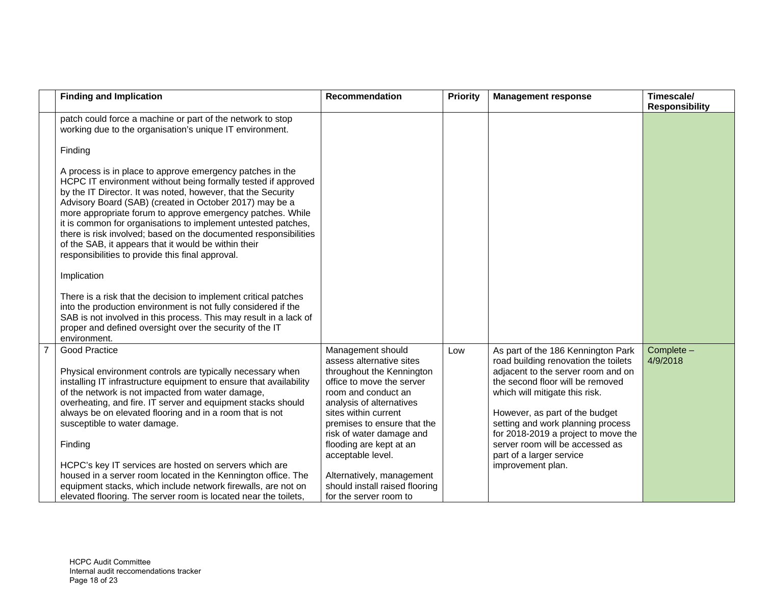|                | <b>Finding and Implication</b>                                                                                                                                                                                                                                                                                                                                                                                                                                                                                                                                            | <b>Recommendation</b>                                                                                                                                                                                                                                                                                                                                        | <b>Priority</b> | <b>Management response</b>                                                                                                                                                                                                                                                                                                                                                               | Timescale/<br><b>Responsibility</b> |
|----------------|---------------------------------------------------------------------------------------------------------------------------------------------------------------------------------------------------------------------------------------------------------------------------------------------------------------------------------------------------------------------------------------------------------------------------------------------------------------------------------------------------------------------------------------------------------------------------|--------------------------------------------------------------------------------------------------------------------------------------------------------------------------------------------------------------------------------------------------------------------------------------------------------------------------------------------------------------|-----------------|------------------------------------------------------------------------------------------------------------------------------------------------------------------------------------------------------------------------------------------------------------------------------------------------------------------------------------------------------------------------------------------|-------------------------------------|
|                | patch could force a machine or part of the network to stop<br>working due to the organisation's unique IT environment.                                                                                                                                                                                                                                                                                                                                                                                                                                                    |                                                                                                                                                                                                                                                                                                                                                              |                 |                                                                                                                                                                                                                                                                                                                                                                                          |                                     |
|                | Finding                                                                                                                                                                                                                                                                                                                                                                                                                                                                                                                                                                   |                                                                                                                                                                                                                                                                                                                                                              |                 |                                                                                                                                                                                                                                                                                                                                                                                          |                                     |
|                | A process is in place to approve emergency patches in the<br>HCPC IT environment without being formally tested if approved<br>by the IT Director. It was noted, however, that the Security<br>Advisory Board (SAB) (created in October 2017) may be a<br>more appropriate forum to approve emergency patches. While<br>it is common for organisations to implement untested patches,<br>there is risk involved; based on the documented responsibilities<br>of the SAB, it appears that it would be within their<br>responsibilities to provide this final approval.      |                                                                                                                                                                                                                                                                                                                                                              |                 |                                                                                                                                                                                                                                                                                                                                                                                          |                                     |
|                | Implication                                                                                                                                                                                                                                                                                                                                                                                                                                                                                                                                                               |                                                                                                                                                                                                                                                                                                                                                              |                 |                                                                                                                                                                                                                                                                                                                                                                                          |                                     |
|                | There is a risk that the decision to implement critical patches<br>into the production environment is not fully considered if the<br>SAB is not involved in this process. This may result in a lack of<br>proper and defined oversight over the security of the IT<br>environment.                                                                                                                                                                                                                                                                                        |                                                                                                                                                                                                                                                                                                                                                              |                 |                                                                                                                                                                                                                                                                                                                                                                                          |                                     |
| $\overline{7}$ | Good Practice<br>Physical environment controls are typically necessary when<br>installing IT infrastructure equipment to ensure that availability<br>of the network is not impacted from water damage,<br>overheating, and fire. IT server and equipment stacks should<br>always be on elevated flooring and in a room that is not<br>susceptible to water damage.<br>Finding<br>HCPC's key IT services are hosted on servers which are<br>housed in a server room located in the Kennington office. The<br>equipment stacks, which include network firewalls, are not on | Management should<br>assess alternative sites<br>throughout the Kennington<br>office to move the server<br>room and conduct an<br>analysis of alternatives<br>sites within current<br>premises to ensure that the<br>risk of water damage and<br>flooding are kept at an<br>acceptable level.<br>Alternatively, management<br>should install raised flooring | Low             | As part of the 186 Kennington Park<br>road building renovation the toilets<br>adjacent to the server room and on<br>the second floor will be removed<br>which will mitigate this risk.<br>However, as part of the budget<br>setting and work planning process<br>for 2018-2019 a project to move the<br>server room will be accessed as<br>part of a larger service<br>improvement plan. | Complete -<br>4/9/2018              |
|                | elevated flooring. The server room is located near the toilets,                                                                                                                                                                                                                                                                                                                                                                                                                                                                                                           | for the server room to                                                                                                                                                                                                                                                                                                                                       |                 |                                                                                                                                                                                                                                                                                                                                                                                          |                                     |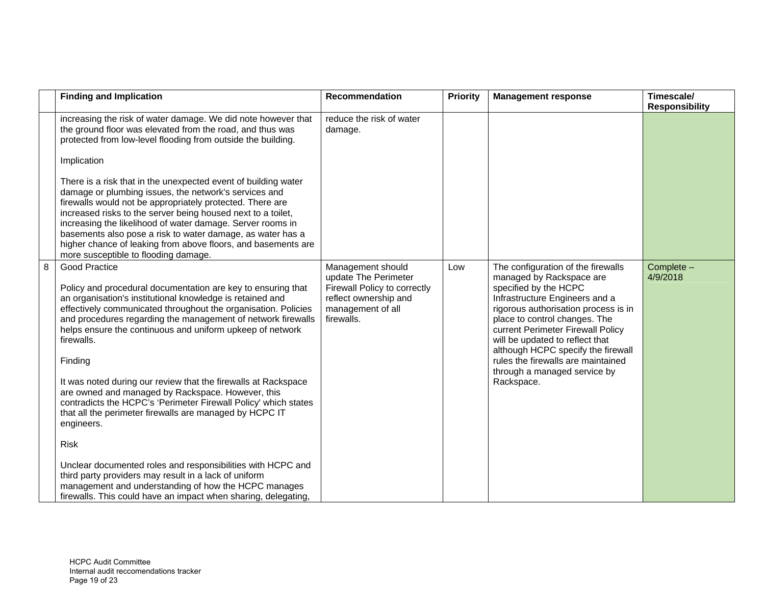|   | <b>Finding and Implication</b>                                                                                                                                                                                                                                                                                                                                                                                                                                                                                                                                                                                                                                                                                                                                                                                                                                                                         | Recommendation                                                                                                                        | <b>Priority</b> | <b>Management response</b>                                                                                                                                                                                                                                                                                                                                                                           | Timescale/<br><b>Responsibility</b> |
|---|--------------------------------------------------------------------------------------------------------------------------------------------------------------------------------------------------------------------------------------------------------------------------------------------------------------------------------------------------------------------------------------------------------------------------------------------------------------------------------------------------------------------------------------------------------------------------------------------------------------------------------------------------------------------------------------------------------------------------------------------------------------------------------------------------------------------------------------------------------------------------------------------------------|---------------------------------------------------------------------------------------------------------------------------------------|-----------------|------------------------------------------------------------------------------------------------------------------------------------------------------------------------------------------------------------------------------------------------------------------------------------------------------------------------------------------------------------------------------------------------------|-------------------------------------|
|   | increasing the risk of water damage. We did note however that<br>the ground floor was elevated from the road, and thus was<br>protected from low-level flooding from outside the building.<br>Implication                                                                                                                                                                                                                                                                                                                                                                                                                                                                                                                                                                                                                                                                                              | reduce the risk of water<br>damage.                                                                                                   |                 |                                                                                                                                                                                                                                                                                                                                                                                                      |                                     |
|   | There is a risk that in the unexpected event of building water<br>damage or plumbing issues, the network's services and<br>firewalls would not be appropriately protected. There are<br>increased risks to the server being housed next to a toilet,<br>increasing the likelihood of water damage. Server rooms in<br>basements also pose a risk to water damage, as water has a<br>higher chance of leaking from above floors, and basements are<br>more susceptible to flooding damage.                                                                                                                                                                                                                                                                                                                                                                                                              |                                                                                                                                       |                 |                                                                                                                                                                                                                                                                                                                                                                                                      |                                     |
| 8 | Good Practice<br>Policy and procedural documentation are key to ensuring that<br>an organisation's institutional knowledge is retained and<br>effectively communicated throughout the organisation. Policies<br>and procedures regarding the management of network firewalls<br>helps ensure the continuous and uniform upkeep of network<br>firewalls.<br>Finding<br>It was noted during our review that the firewalls at Rackspace<br>are owned and managed by Rackspace. However, this<br>contradicts the HCPC's 'Perimeter Firewall Policy' which states<br>that all the perimeter firewalls are managed by HCPC IT<br>engineers.<br><b>Risk</b><br>Unclear documented roles and responsibilities with HCPC and<br>third party providers may result in a lack of uniform<br>management and understanding of how the HCPC manages<br>firewalls. This could have an impact when sharing, delegating, | Management should<br>update The Perimeter<br>Firewall Policy to correctly<br>reflect ownership and<br>management of all<br>firewalls. | Low             | The configuration of the firewalls<br>managed by Rackspace are<br>specified by the HCPC<br>Infrastructure Engineers and a<br>rigorous authorisation process is in<br>place to control changes. The<br>current Perimeter Firewall Policy<br>will be updated to reflect that<br>although HCPC specify the firewall<br>rules the firewalls are maintained<br>through a managed service by<br>Rackspace. | Complete -<br>4/9/2018              |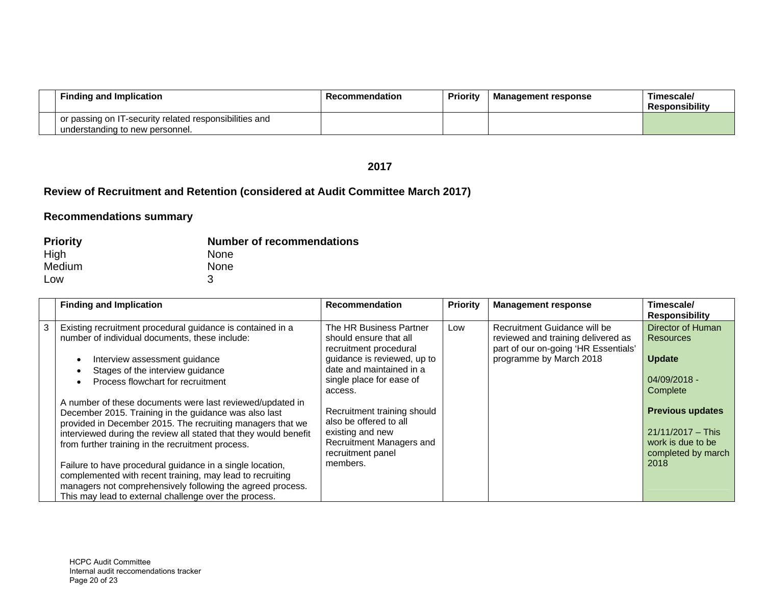| <b>Finding and Implication</b>                                                            | <b>Recommendation</b> | <b>Priority</b> | <b>Management response</b> | Timescale/<br><b>Responsibility</b> |
|-------------------------------------------------------------------------------------------|-----------------------|-----------------|----------------------------|-------------------------------------|
| or passing on IT-security related responsibilities and<br>understanding to new personnel. |                       |                 |                            |                                     |

#### **2017**

# **Review of Recruitment and Retention (considered at Audit Committee March 2017)**

| <b>Priority</b> | <b>Number of recommendations</b> |
|-----------------|----------------------------------|
| High            | <b>None</b>                      |
| Medium          | <b>None</b>                      |
| Low             |                                  |

|   | <b>Finding and Implication</b>                                                                                                                                                                                                                                                                                                                                                                                                                                                                                                                             | <b>Recommendation</b>                                                                                                                                                         | <b>Priority</b> | <b>Management response</b>                                                                                                            | Timescale/<br><b>Responsibility</b>                                                               |
|---|------------------------------------------------------------------------------------------------------------------------------------------------------------------------------------------------------------------------------------------------------------------------------------------------------------------------------------------------------------------------------------------------------------------------------------------------------------------------------------------------------------------------------------------------------------|-------------------------------------------------------------------------------------------------------------------------------------------------------------------------------|-----------------|---------------------------------------------------------------------------------------------------------------------------------------|---------------------------------------------------------------------------------------------------|
| 3 | Existing recruitment procedural guidance is contained in a<br>number of individual documents, these include:<br>Interview assessment guidance<br>Stages of the interview guidance<br>Process flowchart for recruitment                                                                                                                                                                                                                                                                                                                                     | The HR Business Partner<br>should ensure that all<br>recruitment procedural<br>guidance is reviewed, up to<br>date and maintained in a<br>single place for ease of<br>access. | Low             | Recruitment Guidance will be<br>reviewed and training delivered as<br>part of our on-going 'HR Essentials'<br>programme by March 2018 | Director of Human<br>Resources<br><b>Update</b><br>04/09/2018 -<br>Complete                       |
|   | A number of these documents were last reviewed/updated in<br>December 2015. Training in the guidance was also last<br>provided in December 2015. The recruiting managers that we<br>interviewed during the review all stated that they would benefit<br>from further training in the recruitment process.<br>Failure to have procedural guidance in a single location,<br>complemented with recent training, may lead to recruiting<br>managers not comprehensively following the agreed process.<br>This may lead to external challenge over the process. | Recruitment training should<br>also be offered to all<br>existing and new<br>Recruitment Managers and<br>recruitment panel<br>members.                                        |                 |                                                                                                                                       | <b>Previous updates</b><br>$21/11/2017 -$ This<br>work is due to be<br>completed by march<br>2018 |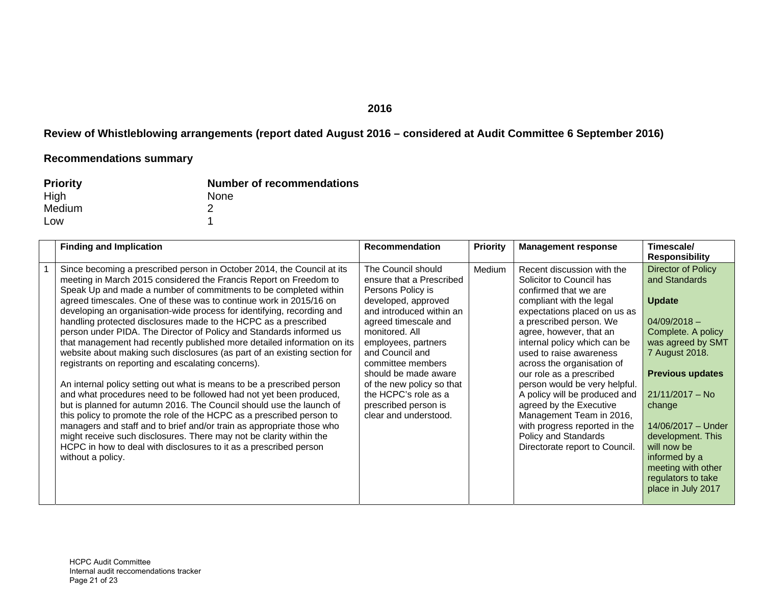#### **2016**

# **Review of Whistleblowing arrangements (report dated August 2016 – considered at Audit Committee 6 September 2016)**

| <b>Priority</b> | <b>Number of recommendations</b> |
|-----------------|----------------------------------|
| High            | None                             |
| Medium          |                                  |
| Low             |                                  |

| <b>Finding and Implication</b>                                                                                                                                                                                                                                                                                                                                                                                                                                                                                                                                                                                                                                                                                                                                                                                                                                                                                                                                                                                                                                                                                                                                                                                                                                     | <b>Recommendation</b>                                                                                                                                                                                                                                                                                                                                         | <b>Priority</b> | <b>Management response</b>                                                                                                                                                                                                                                                                                                                                                                                                                                                                                                                 | Timescale/<br><b>Responsibility</b>                                                                                                                                                                                                                                                                                                               |
|--------------------------------------------------------------------------------------------------------------------------------------------------------------------------------------------------------------------------------------------------------------------------------------------------------------------------------------------------------------------------------------------------------------------------------------------------------------------------------------------------------------------------------------------------------------------------------------------------------------------------------------------------------------------------------------------------------------------------------------------------------------------------------------------------------------------------------------------------------------------------------------------------------------------------------------------------------------------------------------------------------------------------------------------------------------------------------------------------------------------------------------------------------------------------------------------------------------------------------------------------------------------|---------------------------------------------------------------------------------------------------------------------------------------------------------------------------------------------------------------------------------------------------------------------------------------------------------------------------------------------------------------|-----------------|--------------------------------------------------------------------------------------------------------------------------------------------------------------------------------------------------------------------------------------------------------------------------------------------------------------------------------------------------------------------------------------------------------------------------------------------------------------------------------------------------------------------------------------------|---------------------------------------------------------------------------------------------------------------------------------------------------------------------------------------------------------------------------------------------------------------------------------------------------------------------------------------------------|
| Since becoming a prescribed person in October 2014, the Council at its<br>meeting in March 2015 considered the Francis Report on Freedom to<br>Speak Up and made a number of commitments to be completed within<br>agreed timescales. One of these was to continue work in 2015/16 on<br>developing an organisation-wide process for identifying, recording and<br>handling protected disclosures made to the HCPC as a prescribed<br>person under PIDA. The Director of Policy and Standards informed us<br>that management had recently published more detailed information on its<br>website about making such disclosures (as part of an existing section for<br>registrants on reporting and escalating concerns).<br>An internal policy setting out what is means to be a prescribed person<br>and what procedures need to be followed had not yet been produced,<br>but is planned for autumn 2016. The Council should use the launch of<br>this policy to promote the role of the HCPC as a prescribed person to<br>managers and staff and to brief and/or train as appropriate those who<br>might receive such disclosures. There may not be clarity within the<br>HCPC in how to deal with disclosures to it as a prescribed person<br>without a policy. | The Council should<br>ensure that a Prescribed<br>Persons Policy is<br>developed, approved<br>and introduced within an<br>agreed timescale and<br>monitored, All<br>employees, partners<br>and Council and<br>committee members<br>should be made aware<br>of the new policy so that<br>the HCPC's role as a<br>prescribed person is<br>clear and understood. | Medium          | Recent discussion with the<br>Solicitor to Council has<br>confirmed that we are<br>compliant with the legal<br>expectations placed on us as<br>a prescribed person. We<br>agree, however, that an<br>internal policy which can be<br>used to raise awareness<br>across the organisation of<br>our role as a prescribed<br>person would be very helpful.<br>A policy will be produced and<br>agreed by the Executive<br>Management Team in 2016,<br>with progress reported in the<br>Policy and Standards<br>Directorate report to Council. | <b>Director of Policy</b><br>and Standards<br><b>Update</b><br>$04/09/2018 -$<br>Complete. A policy<br>was agreed by SMT<br>7 August 2018.<br><b>Previous updates</b><br>$21/11/2017 - No$<br>change<br>14/06/2017 - Under<br>development. This<br>will now be<br>informed by a<br>meeting with other<br>regulators to take<br>place in July 2017 |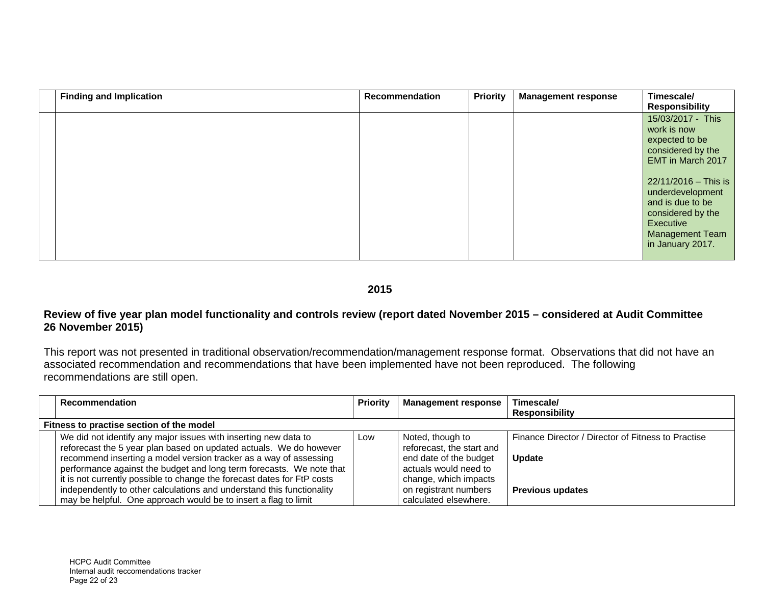| <b>Finding and Implication</b> | <b>Recommendation</b> | <b>Priority</b> | <b>Management response</b> | Timescale/<br><b>Responsibility</b>                                                                                                                                                                                                          |
|--------------------------------|-----------------------|-----------------|----------------------------|----------------------------------------------------------------------------------------------------------------------------------------------------------------------------------------------------------------------------------------------|
|                                |                       |                 |                            | 15/03/2017 - This<br>work is now<br>expected to be<br>considered by the<br>EMT in March 2017<br>22/11/2016 - This is<br>underdevelopment<br>and is due to be<br>considered by the<br>Executive<br><b>Management Team</b><br>in January 2017. |

### **2015**

#### **Review of five year plan model functionality and controls review (report dated November 2015 – considered at Audit Committee 26 November 2015)**

This report was not presented in traditional observation/recommendation/management response format. Observations that did not have an associated recommendation and recommendations that have been implemented have not been reproduced. The following recommendations are still open.

|                                          | <b>Recommendation</b>                                                                                                                                                                                                                                                                                                                                         | <b>Priority</b> | <b>Management response</b>                                                                                                | Timescale/                                                          |  |
|------------------------------------------|---------------------------------------------------------------------------------------------------------------------------------------------------------------------------------------------------------------------------------------------------------------------------------------------------------------------------------------------------------------|-----------------|---------------------------------------------------------------------------------------------------------------------------|---------------------------------------------------------------------|--|
|                                          |                                                                                                                                                                                                                                                                                                                                                               |                 |                                                                                                                           | <b>Responsibility</b>                                               |  |
| Fitness to practise section of the model |                                                                                                                                                                                                                                                                                                                                                               |                 |                                                                                                                           |                                                                     |  |
|                                          | We did not identify any major issues with inserting new data to<br>reforecast the 5 year plan based on updated actuals. We do however<br>recommend inserting a model version tracker as a way of assessing<br>performance against the budget and long term forecasts. We note that<br>it is not currently possible to change the forecast dates for FtP costs | Low             | Noted, though to<br>reforecast, the start and<br>end date of the budget<br>actuals would need to<br>change, which impacts | Finance Director / Director of Fitness to Practise<br><b>Update</b> |  |
|                                          | independently to other calculations and understand this functionality                                                                                                                                                                                                                                                                                         |                 | on registrant numbers                                                                                                     | <b>Previous updates</b>                                             |  |
|                                          | may be helpful. One approach would be to insert a flag to limit                                                                                                                                                                                                                                                                                               |                 | calculated elsewhere.                                                                                                     |                                                                     |  |